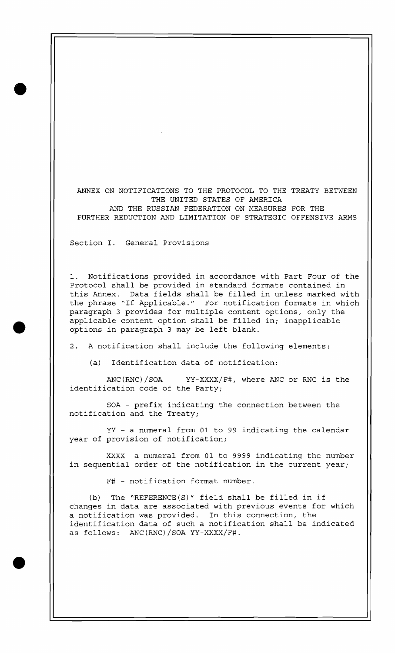ANNEX ON NOTIFICATIONS TO THE PROTOCOL TO THE TREATY BETWEEN THE UNITED STATES OF AMERICA AND THE RUSSIAN FEDERATION ON MEASURES FOR THE FURTHER REDUCTION AND LIMITATION OF STRATEGIC OFFENSIVE ARMS

Section I. General Provisions

1. Notifications provided in accordance with Part Four of the Protocol shall be provided in standard formats contained in this Annex. Data fields shall be filled in unless marked with the phrase "If Applicable." For notification formats in which paragraph 3 provides for multiple content options, only the applicable content option shall be filled in; inapplicable options in paragraph 3 may be left blank.

2. A notification shall include the following elements:

(a) Identification data of notification:

ANC (RNC) /SOA YY-XXXX/F#, where ANC or RNC is the identification code of the Party;

SOA - prefix indicating the connection between the notification and the Treaty;

YY - a numeral from 01 to 99 indicating the calendar year of provision of notification;

XXXX- a numeral from 01 to 9999 indicating the number in sequential order of the notification in the current year;

F# - notification format number.

(b) The "REFERENCE(S)" field shall be filled in if changes in data are associated with previous events for which a notification was provided. In this connection, the identification data of such a notification shall be indicated as follows: ANC(RNC)/SOA YY-XXXX/F#.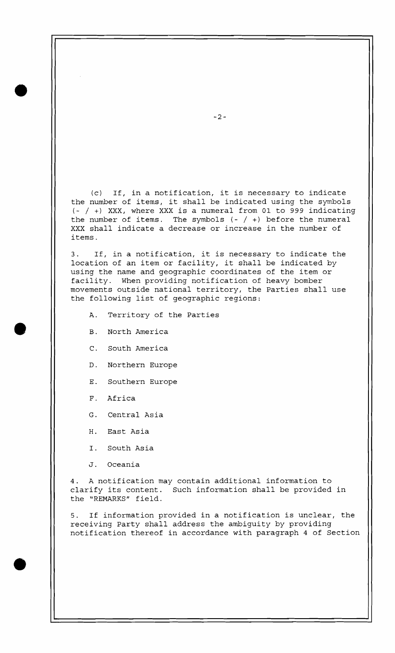(c) If, in a notification, it is necessary to indicate the number of items, it shall be indicated using the symbols  $(- / +)$  XXX, where XXX is a numeral from 01 to 999 indicating the number of items. The symbols  $(- / +)$  before the numeral XXX shall indicate a decrease or increase in the number of items.

3. If, in a notification, it is necessary to indicate the location of an item or facility, it shall be indicated by using the name and geographic coordinates of the item or facility. When providing notification of heavy bomber movements outside national territory, the Parties shall use the following list of geographic regions:

- A. Territory of the Parties
- B. North America
- C. South America
- D. Northern Europe
- E. Southern Europe
- F. Africa
- G. Central Asia
- H. East Asia
- I. South Asia
- J. Oceania

4. A notification may contain additional information to clarify its content. Such information shall be provided in the "REMARKS" field.

5. If information provided in a notification is unclear, the receiving Party shall address the ambiguity by providing notification thereof in accordance with paragraph 4 of Section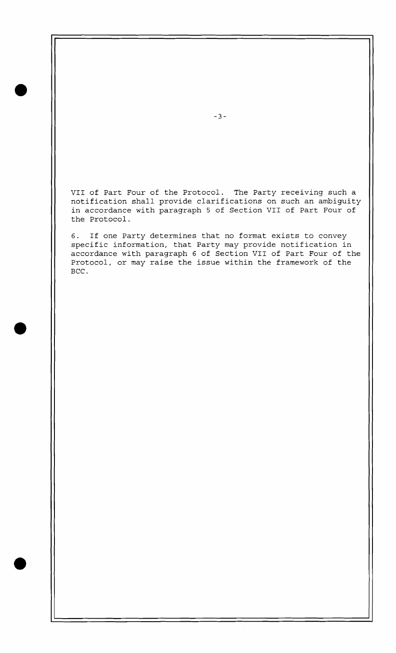VII of Part Four of the Protocol. The Party receiving such a notification shall provide clarifications on such an ambiguity in accordance with paragraph 5 of Section VII of Part Four of the Protocol.

6. If one Party determines that no format exists to convey specific information, that Party may provide notification in accordance with paragraph 6 of Section VII of Part Four of the Protocol, or may raise the issue within the framework of the BCC .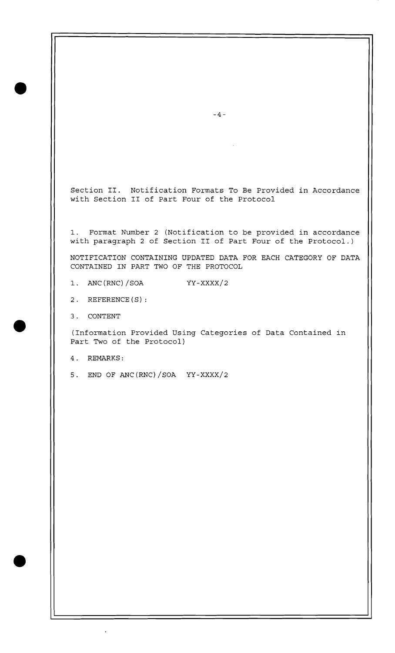Section 11. Notification Formats To Be Provided in Accordance with Section I1 of Part Four of the Protocol

1. Format Number 2 (Notification to be provided in accordance with paragraph 2 of Section I1 of Part Four of the Protocol.)

NOTIFICATION CONTAINING UPDATED DATA FOR EACH CATEGORY OF DATA CONTAINED IN PART TWO OF THE PROTOCOL

1. ANC (RNC) /SOA YY-XXXX/2

2. REFERENCE (S) :

3. CONTENT

(Information Provided Using Categories of Data Contained in Part Two of the Protocol)

4. REMARKS:

5. END OF ANC(RNC)/SOA  $YY-XXXX/2$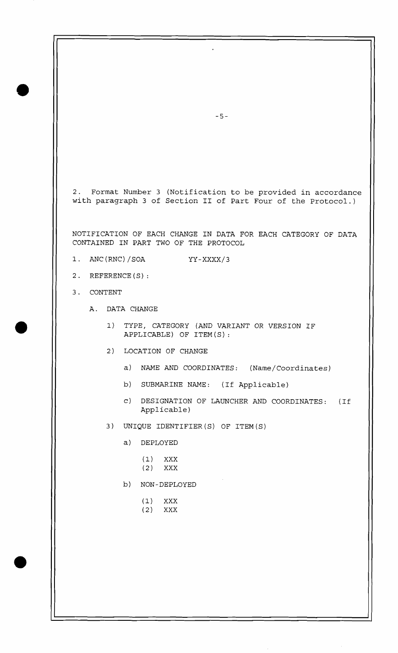2. Format Number 3 (Notification to be provided in accordance with paragraph 3 of Section I1 of Part Four of the Protocol.)

NOTIFICATION OF EACH CHANGE IN DATA FOR EACH CATEGORY OF DATA CONTAINED IN PART TWO OF THE PROTOCOL

- 1. ANC(RNC)/SOA YY-XXXX/3
- 2. REFERENCE (S) :
- 3. CONTENT
	- A. DATA CHANGE
		- 1) TYPE, CATEGORY (AND VARIANT OR VERSION IF APPLICABLE) OF ITEM (S) :
		- 2) LOCATION OF CHANGE
			- a) NAME AND COORDINATES: (Name/Coordinates)
			- b) SUBMARINE NAME: (If Applicable)
			- C) DESIGNATION OF LAUNCHER AND COORDINATES: (If Applicable)
		- 3) UNIQUE IDENTIFIER(S) OF ITEM(S)
			- a) DEPLOYED
				- (1) XXX
				- (2) XXX
			- b) NON-DEPLOYED
				- (1) XXX
				- (2) XXX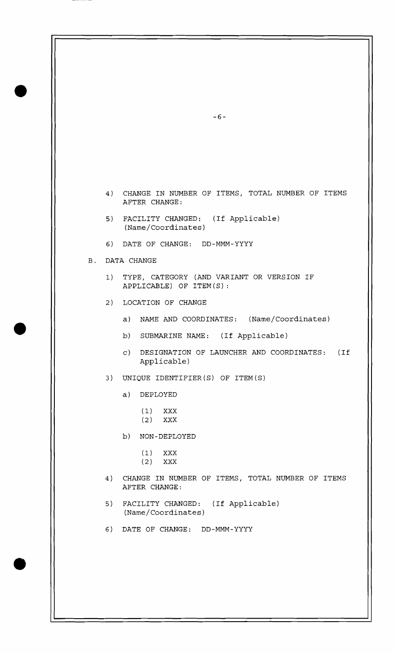|    | $-6-$                                                                   |
|----|-------------------------------------------------------------------------|
|    |                                                                         |
|    |                                                                         |
|    |                                                                         |
|    |                                                                         |
|    | 4) CHANGE IN NUMBER OF ITEMS, TOTAL NUMBER OF ITEMS<br>AFTER CHANGE:    |
|    | 5) FACILITY CHANGED: (If Applicable)<br>(Name/Coordinates)              |
|    | 6) DATE OF CHANGE: DD-MMM-YYYY                                          |
|    | <b>B. DATA CHANGE</b>                                                   |
|    | 1) TYPE, CATEGORY (AND VARIANT OR VERSION IF<br>APPLICABLE) OF ITEM(S): |
|    | 2) LOCATION OF CHANGE                                                   |
|    | a) NAME AND COORDINATES: (Name/Coordinates)                             |
|    | b)<br>SUBMARINE NAME: (If Applicable)                                   |
|    | DESIGNATION OF LAUNCHER AND COORDINATES: (If<br>$\circ)$<br>Applicable) |
| 3) | UNIQUE IDENTIFIER(S) OF ITEM(S)                                         |
|    | a)<br>DEPLOYED                                                          |
|    | (1)                                                                     |
|    | XXX<br>$(2)$ XXX                                                        |
|    | b)<br>NON-DEPLOYED                                                      |
|    | (1)<br>XXX                                                              |
|    | (2)<br>$\mathbf{XXX}$                                                   |
| 4) | CHANGE IN NUMBER OF ITEMS, TOTAL NUMBER OF ITEMS<br>AFTER CHANGE:       |
| 5) | FACILITY CHANGED: (If Applicable)<br>(Name/Coordinates)                 |
| 6) | DATE OF CHANGE: DD-MMM-YYYY                                             |
|    |                                                                         |
|    |                                                                         |
|    |                                                                         |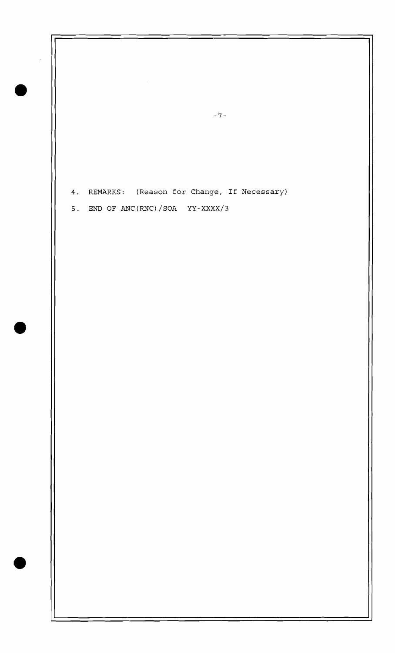4. REMARKS: (Reason for Change, If Necessary)

 $-7-$ 

5. END OF ANC(RNC)/SOA YY-XXXX/3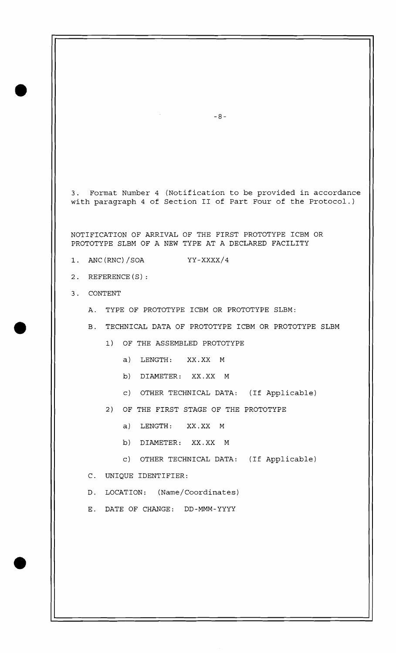3. Format Number 4 (Notification to be provided in accordance with paragraph 4 of Section I1 of Part Four of the Protocol.)

NOTIFICATION OF ARRIVAL OF THE FIRST PROTOTYPE ICBM OR PROTOTYPE SLBM OF A NEW TYPE AT A DECLARED FACILITY

- 1. ANC (RNC) / SOA YY-XXXX/4
- 2. REFERENCE (S) :
- 3. CONTENT
	- A. TYPE OF PROTOTYPE ICBM OR PROTOTYPE SLBM:
	- B. TECHNICAL DATA OF PROTOTYPE ICBM OR PROTOTYPE SLBM
		- 1) OF THE ASSEMBLED PROTOTYPE
			- a) LENGTH: XX.XX M
			- b) DIAMETER: XX.XX M
			- c) OTHER TECHNICAL DATA: (If Applicable)
		- 2) OF THE FIRST STAGE OF THE PROTOTYPE
			- a) LENGTH: XX.XX M
			- b) DIAMETER: XX.XX M
			- c) OTHER TECHNICAL DATA: (If Applicable)
	- C. UNIQUE IDENTIFIER:
	- D. LOCATION: (Name/Coordinates)
	- E. DATE OF CHANGE: DD-MMM-YYYY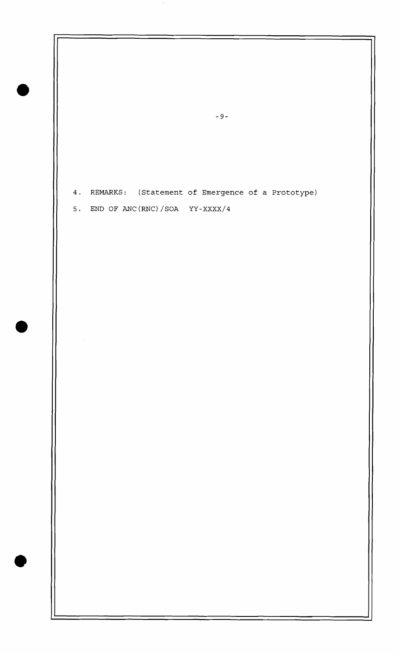4. REMARKS: (Statement of Emergence of a Prototype)

5. END OF ANC(RNC)/SOA  $YY-XXXX/4$ 

 $-9-$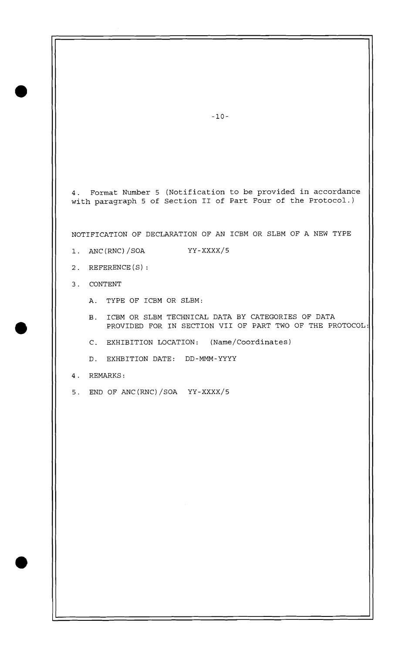4. Format Number 5 (Notification to be provided in accordance with paragraph 5 of Section II of Part Four of the Protocol.)

NOTIFICATION OF DECLARATION OF AN ICBM OR SLBM OF A NEW TYPE

- 1. ANC (RNC) / SOA YY-XXXX/5
- 2. REFERENCE (S) :
- 3. CONTENT
	- A. TYPE OF ICBM OR SLBM:
	- B. ICBM OR SLBM TECHNICAL DATA BY CATEGORIES OF DATA PROVIDED FOR IN SECTION VII OF PART TWO OF THE PROTOCOL:
	- C. EXHIBITION LOCATION: (Name/Coordinates)
	- D. EXHBITION DATE: DD-MMM-YYYY
- 4. REMARKS:
- 5. END OF ANC(RNC)/SOA YY-XXXX/5

 $-10-$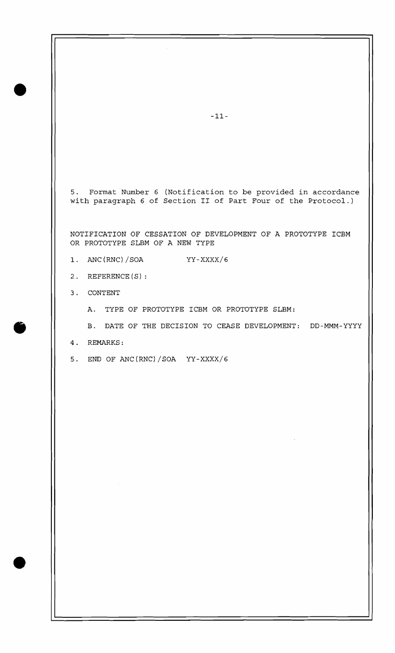5. Format Number 6 (Notification to be provided in accordance with paragraph 6 of Section I1 of Part Four of the Protocol.)

NOTIFICATION OF CESSATION OF DEVELOPMENT OF A PROTOTYPE ICBM OR PROTOTYPE SLBM OF A NEW TYPE

- 1. ANC (RNC) / SOA YY-XXXX/6
- 2. REFERENCE(S):
- 3. CONTENT
	- A. TYPE OF PROTOTYPE ICBM OR PROTOTYPE SLBM:
	- B. DATE OF THE DECISION TO CEASE DEVELOPMENT: DD-MMM-YYYY
- 4. REMARKS:
- 5. END OF ANC(RNC)/SOA YY-XXXX/6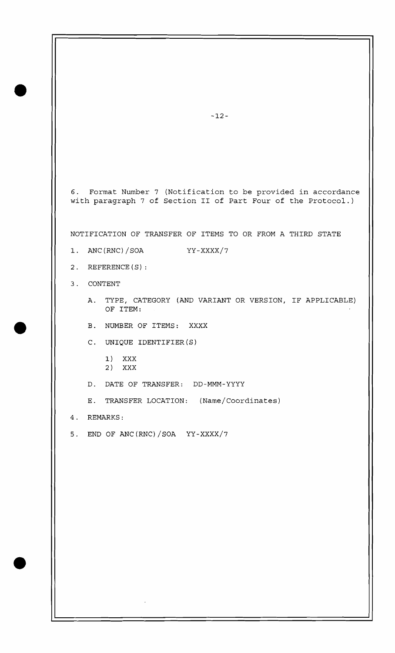6. Format Number 7 (Notification to be provided in accordance with paragraph 7 of Section I1 of Part Four of the Protocol.)

NOTIFICATION OF TRANSFER OF ITEMS TO OR FROM A THIRD STATE

- 1. ANC(RNC)/SOA YY-XXXX/7
- 2. REFERENCE (S) :
- 3. CONTENT
	- A. TYPE, CATEGORY (AND VARIANT OR VERSION, IF APPLICABLE) OF ITEM:
	- B. NUMBER OF ITEMS: XXXX
	- C. UNIQUE IDENTIFIER (S)
		- 1) XXX 2) XXX
	- D. DATE OF TRANSFER: DD-MMM-YYYY
	- E. TRANSFER LOCATION: (Name/Coordinates)
- 4. REMARKS:
- 5. END OF ANC(RNC)/SOA YY-XXXX/7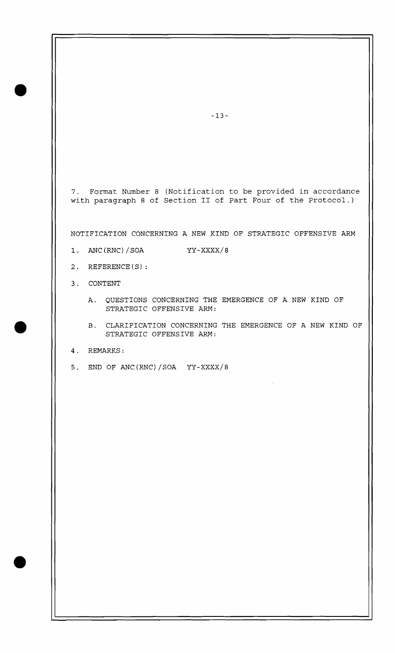7. Format Number 8 (Notification to be provided in accordance with paragraph 8 of Section I1 of Part Four of the Protocol.)

NOTIFICATION CONCERNING A NEW KIND OF STRATEGIC OFFENSIVE ARM

- 1. ANC(RNC)/SOA YY-XXXX/8
- 2. REFERENCE (S) :
- 3. CONTENT
	- A. QUESTIONS CONCERNING THE EMERGENCE OF A NEW KIND OF STRATEGIC OFFENSIVE ARM:
	- B. CLARIFICATION CONCERNING THE EMERGENCE OF A NEW KIND OF STRATEGIC OFFENSIVE ARM:
- 4. REMARKS:
- 5. END OF ANC (RNC) /SOA YY-XXXX/8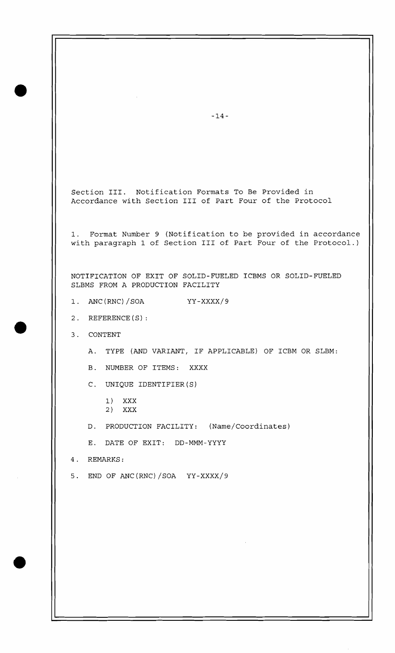Section 111. Notification Formats To Be Provided in Accordance with Section I11 of Part Four of the Protocol

1. Format Number 9 (Notification to be provided in accordance with paragraph 1 of Section I11 of Part Four of the Protocol.)

NOTIFICATION OF EXIT OF SOLID-FUELED ICBMs OR SOLID-FUELED SLBMS FROM A PRODUCTION FACILITY

- 1. ANC(RNC)/SOA YY-XXXX/9
- 2. REFERENCE (S) :
- 3. CONTENT
	- A. TYPE (AND VARIANT, IF APPLICABLE) OF ICBM OR SLBM:
	- B. NUMBER OF ITEMS: XXXX
	- C. UNIQUE IDENTIFIER (S)
		- 1) XXX 2) XXX
	- D. PRODUCTION FACILITY: (Name/Coordinates)
	- E. DATE OF EXIT: DD-MMM-YYYY
- 4. REMARKS:
- 5. END OF ANC (RNC) /SOA YY-XXXX/9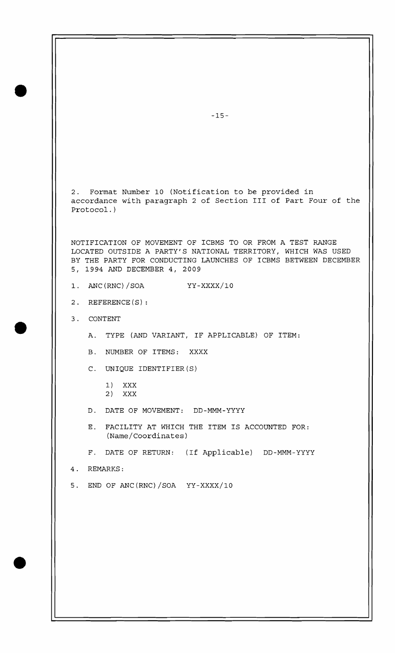2. Format Number 10 (Notification to be provided in accordance with paragraph 2 of Section I11 of Part Four of the Protocol. )

NOTIFICATION OF MOVEMENT OF ICBMS TO OR FROM A TEST RANGE LOCATED OUTSIDE A PARTY'S NATIONAL TERRITORY, WHICH WAS USED BY THE PARTY FOR CONDUCTING LAUNCHES OF ICBMS BETWEEN DECEMBER 5, 1994 AND DECEMBER 4, 2009

- 1. ANC(RNC)/SOA YY-XXXX/IO
- 2. REFERENCE (S) :
- 3. CONTENT
	- A. TYPE (AND VARIANT, IF APPLICABLE) OF ITEM:
	- B. NUMBER OF ITEMS: XXXX
	- C. UNIQUE IDENTIFIER(S)
		- 1) XXX 2) XXX
	- D. DATE OF MOVEMENT: DD-MMM-YYYY
	- E. FACILITY AT WHICH THE ITEM IS ACCOUNTED FOR: (Name/Coordinates)
	- F. DATE OF RETURN: (If Applicable) DD-MMM-YYYY
- 4. REMARKS:
- 5. END OF ANC(RNC)/SOA YY-XXXX/IO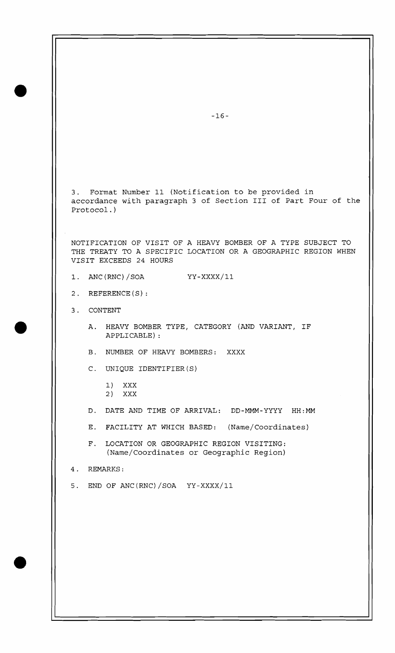$-16-$ 3. Format Number 11 (Notification to be provided in accordance with paragraph 3 of Section I11 of Part Four of the Protocol. ) NOTIFICATION OF VISIT OF A HEAVY BOMBER OF A TYPE SUBJECT TO THE TREATY TO A SPECIFIC LOCATION OR A GEOGRAPHIC REGION WHEN VISIT EXCEEDS 24 HOURS 1. ANC(RNC)/SOA YY-XXXX/11 2. REFERENCE(S): 3. CONTENT A. HEAVY BOMBER TYPE, CATEGORY (AND VARIANT, IF APPLICABLE) : B. NUMBER OF HEAVY BOMBERS: XXXX C. UNIQUE IDENTIFIER (S) 1) XXX 2) XXX D. DATE AND TIME OF ARRIVAL: DD-MMM-YYYY HH:MM E. FACILITY AT WHICH BASED: (Name/Coordinates) F. LOCATION OR GEOGRAPHIC REGION VISITING: (Name/Coordinates or Geographic Region) 4. REMARKS: 5. END OF ANC(RNC)/SOA YY-XXXX/II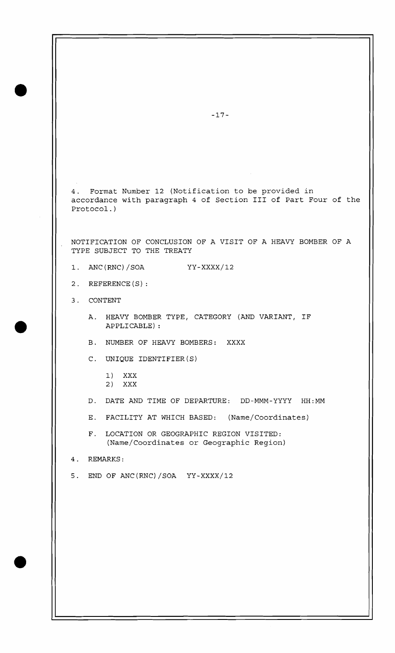4. Format Number 12 (Notification to be provided in accordance with paragraph 4 of Section I11 of Part Four of the Protocol. )

NOTIFICATION OF CONCLUSION OF A VISIT OF A HEAVY BOMBER OF A TYPE SUBJECT TO THE TREATY

- 1. ANC(RNC)/SOA YY-xxxx/12
- 2. REFERENCE(S):
- 3. CONTENT
	- A. HEAVY BOMBER TYPE, CATEGORY (AND VARIANT, IF APPLICABLE) :
	- B. NUMBER OF HEAVY BOMBERS: XXXX
	- C. UNIQUE IDENTIFIER (S)
		- 1) XXX 2) XXX
	- D. DATE AND TIME OF DEPARTURE: DD-MMM-YYYY HH:MM
	- E. FACILITY AT WHICH BASED: (Name/Coordinates)
	- F. LOCATION OR GEOGRAPHIC REGION VISITED: (Name/Coordinates or Geographic Region)
- 4. REMARKS:
- 5. END OF ANC(RNC) /SOA YY-XXXX/12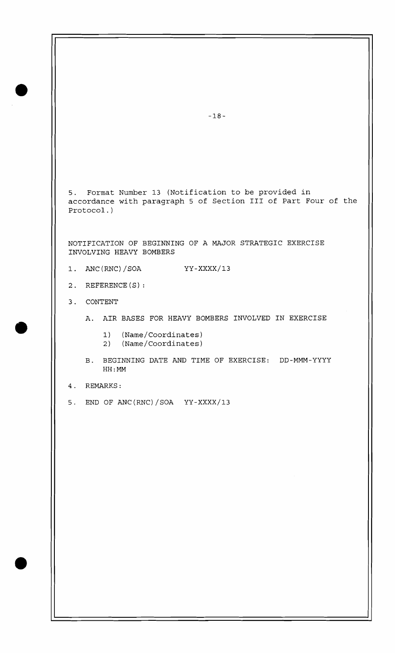5. Format Number 13 (Notification to be provided in accordance with paragraph 5 of Section I11 of Part Four of the Protocol. )

NOTIFICATION OF BEGINNING OF A MAJOR STRATEGIC EXERCISE INVOLVING HEAVY BOMBERS

- 1. ANC (RNC) / SOA YY-XXXX/13
- 2. REFERENCE (S) :
- 3. CONTENT
	- A. AIR BASES FOR HEAVY BOMBERS INVOLVED IN EXERCISE
		- 1) (Name/Coordinates)
		- 2) (Name/Coordinates)
	- B. BEGINNING DATE AND TIME OF EXERCISE: DD-MMM-YYYY HH : MM
- 4. REMARKS:
- 5. END OF ANC(RNC)/SOA  $YY-XXXX/13$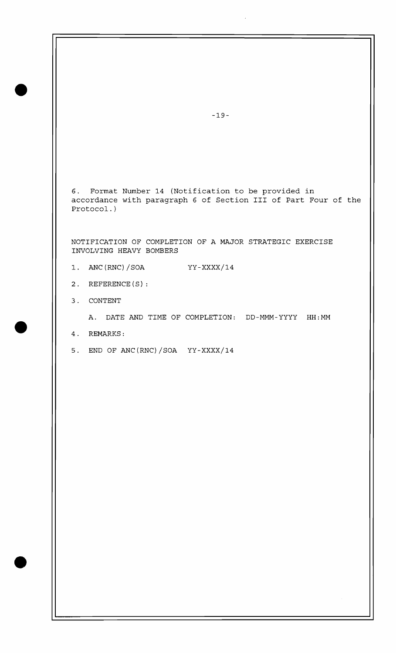**6.** Format Number 14 (Notification to be provided in accordance with paragraph **6** of Section I11 of Part Four of the Protocol.)

NOTIFICATION OF COMPLETION OF A MAJOR STRATEGIC EXERCISE INVOLVING HEAVY BOMBERS

- 1. ANC(RNC)/SOA  $YY-XXXX/14$
- 2. REFERENCE (S) :
- 3. CONTENT

A. DATE AND TIME OF COMPLETION: DD-MMM-YYYY HH:MM

- 4. REMARKS:
- 5. END OF ANC(RNC)/SOA  $YY-XXXX/14$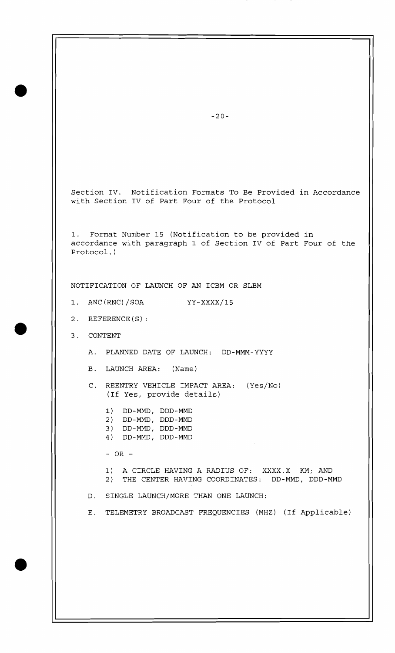Section IV. Notification Formats To Be Provided in Accordance with Section IV of Part Four of the Protocol

1. Format Number 15 (Notification to be provided in accordance with paragraph 1 of Section IV of Part Four of the Protocol.)

NOTIFICATION OF LAUNCH OF AN ICBM OR SLBM

1. ANC(RNC) /SOA YY-xxxx/15

- 2. REFERENCE(S):
- 3. CONTENT
	- A. PLANNED DATE OF LAUNCH: DD-MMM-YYYY
	- B. LAUNCH AREA: (Name)
	- C. REENTRY VEHICLE IMPACT AREA: (Yes/No) (If Yes, provide details)
		- **1)** DD-MMD, DDD-MMD 2) DD-MMD, DDD-MMD
		- 3) DD-MMD, DDD-MMD
		- 4) DD-MMD, DDD-MMD

- OR -

1) A CIRCLE HAVING A RADIUS OF: XXXX.X KM; AND 2) THE CENTER HAVING COORDINATES: DD-MMD, DDD-MMD

D. SINGLE LAUNCH/MORE THAN ONE LAUNCH:

E. TELEMETRY BROADCAST FREQUENCIES (MHz) (If Applicable)

 $-20-$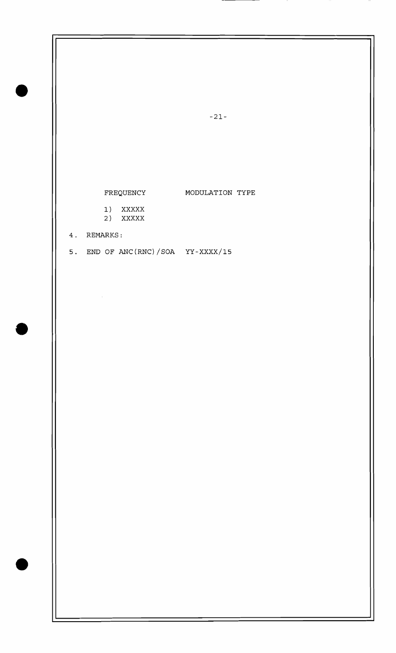FREQUENCY MODULATION TYPE

1) XXXXX 2) XXXXX

4. REMARKS:

 $\mathcal{L}_{\mathcal{L}}$ 

5. END OF ANC(RNC)/SOA  $YY-XXXX/15$ 

 $-21-$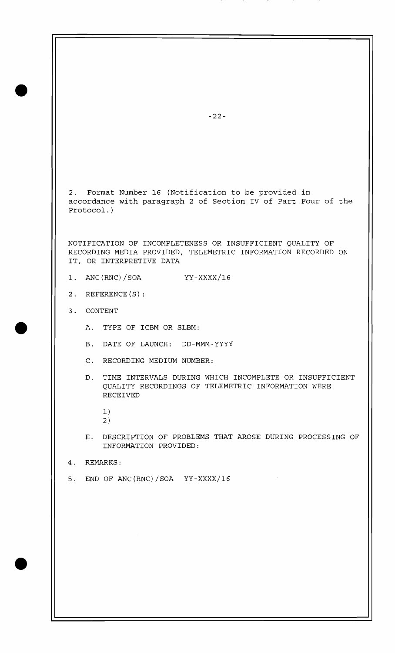2. Format Number 16 (Notification to be provided in accordance with paragraph 2 of Section IV of Part Four of the Protocol. )

NOTIFICATION OF INCOMPLETENESS OR INSUFFICIENT QUALITY OF RECORDING MEDIA PROVIDED, TELEMETRIC INFORMATION RECORDED ON IT, OR INTERPRETIVE DATA

- 1. ANC (RNC) /SOA YY-XXXX/16
- 2. REFERENCE(S):
- 3. CONTENT
	- A. TYPE OF ICBM OR SLBM:
	- B. DATE OF LAUNCH: DD-MMM-YYYY
	- C. RECORDING MEDIUM NUMBER:
	- D. TIME INTERVALS DURING WHICH INCOMPLETE OR INSUFFICIENT QUALITY RECORDINGS OF TELEMETRIC INFORMATION WERE RECEIVED
		- 1)
		- 2 )
	- E. DESCRIPTION OF PROBLEMS THAT AROSE DURING PROCESSING OF INFORMATION PROVIDED:
- 4. REMARKS:
- 5. END OF ANc(RNC)/SOA YY-XXXX/16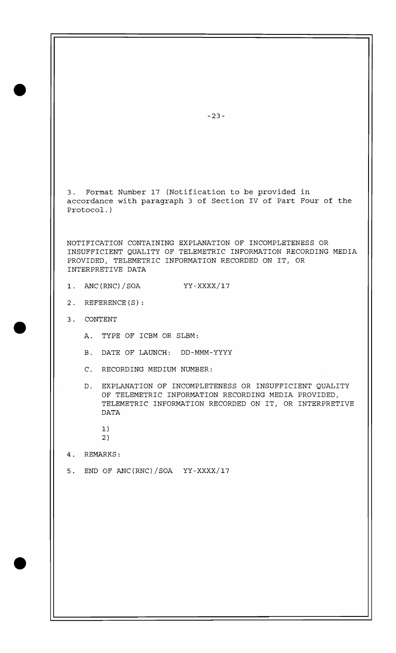3. Format Number 17 (Notification to be provided in accordance with paragraph 3 of Section IV of Part Four of the Protocol.)

NOTIFICATION CONTAINING EXPLANATION OF INCOMPLETENESS OR INSUFFICIENT QUALITY OF TELEMETRIC INFORMATION RECORDING MEDIA PROVIDED, TELEMETRIC INFORMATION RECORDED ON IT, OR INTERPRETIVE DATA

- $1. \quad \text{ANC}(\text{RNC})\text{/SOA}$ YY-XXXX/17
- 2. REFERENCE(S):
- 3. CONTENT
	- A. TYPE OF ICBM OR SLBM:
	- B. DATE OF LAUNCH: DD-MMM-YYYY
	- C. RECORDING MEDIUM NUMBER:
	- D. EXPLANATION OF INCOMPLETENESS OR INSUFFICIENT QUALITY OF TELEMETRIC INFORMATION RECORDING MEDIA PROVIDED, TELEMETRIC INFORMATION RECORDED ON IT, OR INTERPRETIVE **DATA** 
		- $1)$
		- $2)$

## 4. REMARKS:

5. END OF ANC(RNC)/SOA YY-XXXX/17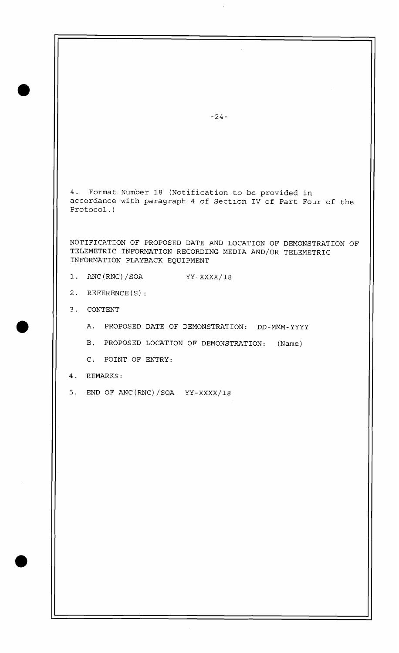4. Format Number 18 (Notification to be provided in accordance with paragraph 4 of Section IV of Part Four of the Protocol.)

NOTIFICATION OF PROPOSED DATE AND LOCATION OF DEMONSTRATION OF TELEMETRIC INFORMATION RECORDING MEDIA AND/OR TELEMETRIC INFORMATION PLAYBACK EQUIPMENT

- 1. ANC(RNC)/SOA YY-xxXX/18
- 2. REFERENCE (S) :
- 3. CONTENT
	- A. PROPOSED DATE OF DEMONSTRATION: DD-MMM-YYYY
	- B. PROPOSED LOCATION OF DEMONSTRATION: (Name)
	- C. POINT OF ENTRY:
- 4. REMARKS:
- 5. END OF ANC(RNC)/SOA YY-xXXX/18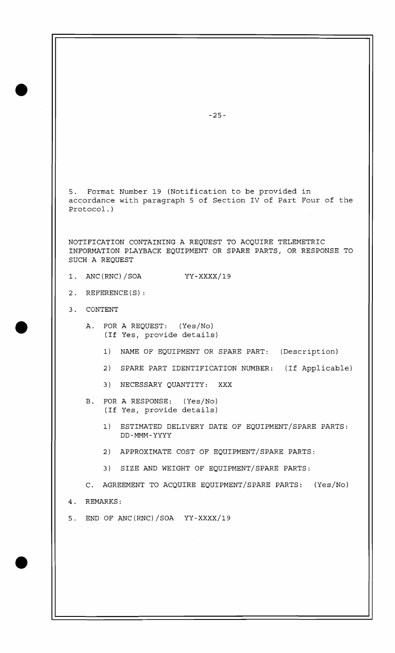5. Format Number 19 (Notification to be provided in accordance with paragraph 5 of Section IV of Part Four of the Protocol. )

NOTIFICATION CONTAINING A REQUEST TO ACQUIRE TELEMETRIC INFORMATION PLAYBACK EQUIPMENT OR SPARE PARTS, OR RESPONSE TO SUCH A REQUEST

- 1. ANC(RNC)/SOA YY-xxxx/19
- 2. REFERENCE(S):
- 3. CONTENT
	- A. FOR A REQUEST: (Yes/No) (If Yes, provide details)
		- 1) NAME OF EQUIPMENT OR SPARE PART: (Description)
		- 2) SPARE PART IDENTIFICATION NUMBER: (If Applicable)
		- 3) NECESSARY QUANTITY: XXX
	- B. FOR A RESPONSE: (Yes/No) (If Yes, provide details)
		- 1) ESTIMATED DELIVERY DATE OF EQUIPMENT/SPARE PARTS: DD-MMM-YYYY
		- 2) APPROXIMATE COST OF EQUIPMENT/SPARE PARTS:
		- 3) SIZE AND WEIGHT OF EQUIPMENT/SPARE PARTS:

C. AGREEMENT TO ACQUIRE EQUIPMENT/SPARE PARTS: (Yes/No) 4. REMARKS:

5. END OF ANC(RNC)/SOA  $YY-XXXX/19$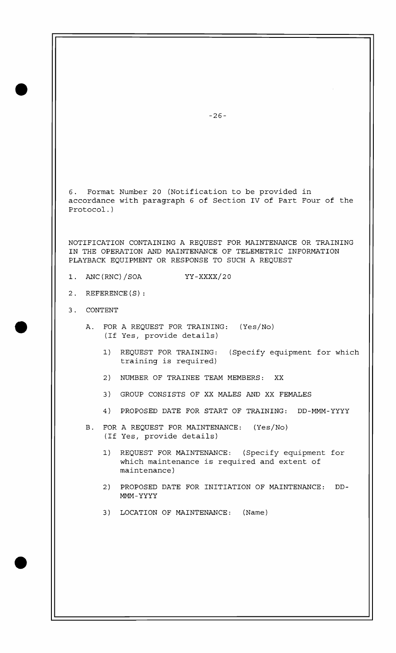6. Format Number 20 (Notification to be provided in accordance with paragraph 6 of Section IV of Part Four of the Protocol.)

NOTIFICATION CONTAINING A REQUEST FOR MAINTENANCE OR TRAINING IN THE OPERATION AND MAINTENANCE OF TELEMETRIC INFORMATION PLAYBACK EQUIPMENT OR RESPONSE TO SUCH A REQUEST

- 1. ANC(RNC)/SOA YY-xxxx/20
- 2. REFERENCE (S) :
- 3. CONTENT
	- A. FOR A REQUEST FOR TRAINING: (Yes/No) (If Yes, provide details)
		- 1) REQUEST FOR TRAINING: (Specify equipment for which training is required)
		- 2) NUMBER OF TRAINEE TEAM MEMBERS: XX
		- 3) GROUP CONSISTS OF XX MALES AND XX FEMALES
		- 4) PROPOSED DATE FOR START OF TRAINING: DD-MMM-YYYY
	- B. FOR A REQUEST FOR MAINTENANCE: (Yes/No) (If Yes, provide details)
		- 1) REQUEST FOR MAINTENANCE: (Specify equipment for which maintenance is required and extent of maintenance)
		- 2) PROPOSED DATE FOR INITIATION OF MAINTENANCE: DD-MMM-YYYY
		- 3) LOCATION OF MAINTENANCE: (Name)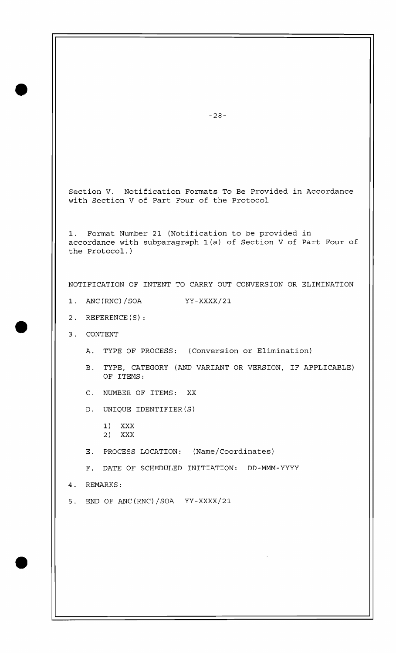Section V. Notification Formats To Be Provided in Accordance with Section V of Part Four of the Protocol

1. Format Number 21 (Notification to be provided in accordance with subparagraph l(a) of Section V of Part Four of the Protocol. )

NOTIFICATION OF INTENT TO CARRY OUT CONVERSION OR ELIMINATION

- 1. ANC(RNC)/SOA YY-xxxx/21
- 2. REFERENCE(S):
- 3. CONTENT

-

- A. TYPE OF PROCESS: (Conversion or Elimination)
- B. TYPE, CATEGORY (AND VARIANT OR VERSION, IF APPLICABLE) OF ITEMS:
- C. NUMBER OF ITEMS: XX
- D. UNIQUE IDENTIFIER (S)
	- 1) XXX
	- 2) XXX
- E. PROCESS LOCATION: (Name/Coordinates)
- F. DATE OF SCHEDULED INITIATION: DD-MMM-YYYY
- 4. REMARKS:
- 5. END OF ANC (RNC) /SOA YY-XXXX/21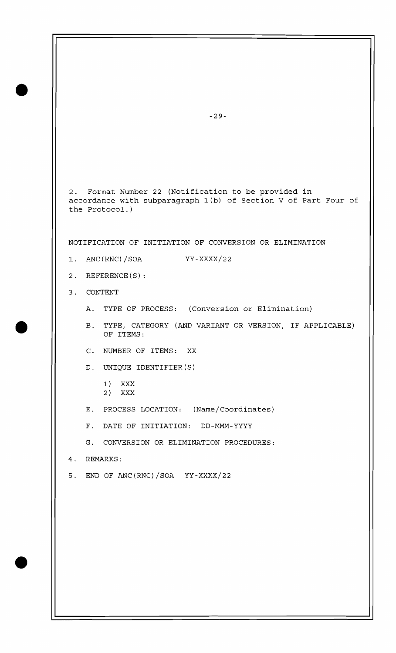2. Format Number 22 (Notification to be provided in accordance with subparagraph l(b) of Section V of Part Four of the Protocol. )

NOTIFICATION OF INITIATION OF CONVERSION OR ELIMINATION

- 1. ANC(RNC)/SOA YY-xxxx/22
- 2. REFERENCE(S):
- 3. CONTENT
	- A. TYPE OF PROCESS: (Conversion or Elimination)
	- B. TYPE, CATEGORY (AND VARIANT OR VERSION, IF APPLICABLE) OF ITEMS:
	- C. NUMBER OF ITEMS: XX
	- D. UNIQUE IDENTIFIER (S)
		- 1) XXX
		- 2) XXX
	- E. PROCESS LOCATION: (Name/Coordinates)
	- F. DATE OF INITIATION: DD-MMM-YYYY
	- G. CONVERSION OR ELIMINATION PROCEDURES:
- 4. REMARKS:
- 5. END OF ANC (RNC) /SOA YY-XXXX/22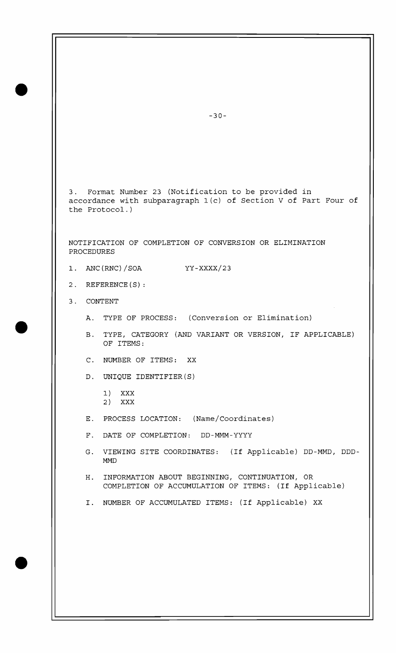3. Format Number 23 (Notification to be provided in accordance with subparagraph l(c) of Section V of Part Four of the Protocol. )

NOTIFICATION OF COMPLETION OF CONVERSION OR ELIMINATION PROCEDURES

- 1. ANC (RNC) / SOA YY-XXXX/23
- 2. REFERENCE (S) :
- 3. CONTENT
	- A. TYPE OF PROCESS: (Conversion or Elimination)
	- B. TYPE, CATEGORY (AND VARIANT OR VERSION, IF APPLICABLE) OF ITEMS:
	- C. NUMBER OF ITEMS: XX
	- D. UNIQUE IDENTIFIER(S)
		- 1) XXX 2) XXX
	- E. PROCESS LOCATION: (Name/Coordinates)
	- F. DATE OF COMPLETION: DD-MMM-YYYY
	- G. VIEWING SITE COORDINATES: (If Applicable) DD-MMD, DDD-MMD
	- H. INFORMATION ABOUT BEGINNING, CONTINUATION, OR COMPLETION OF ACCUMULATION OF ITEMS: (If Applicable)
	- I. NUMBER OF ACCUMULATED ITEMS: (If Applicable) XX

 $-30-$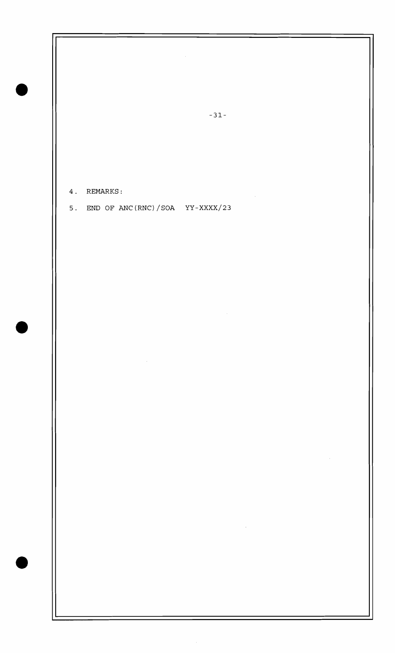$\mathcal{A}^{\mathcal{A}}$  $-31-$ 4. REMARKS:  $\bar{\beta}$ 5. END OF ANC(RNC)/SOA YY-XXXX/23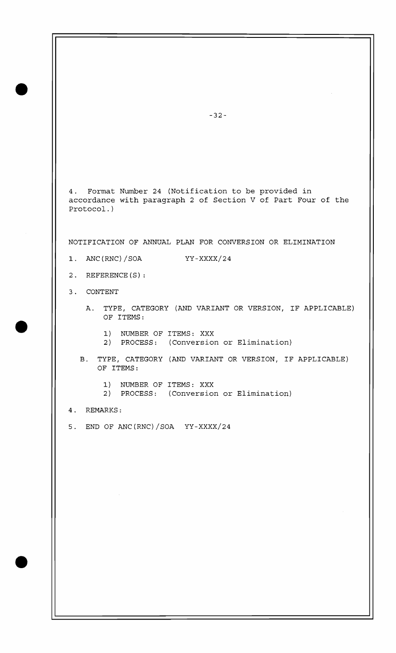4. Format Number 24 (Notification to be provided in accordance with paragraph 2 of Section V of Part Four of the Protocol. )

NOTIFICATION OF ANNUAL PLAN FOR CONVERSION OR ELIMINATION

- 1. ANC (RNC) / SOA YY-XXXX/24
- 2. REFERENCE (S) :
- 3. CONTENT
	- A. TYPE, CATEGORY (AND VARIANT OR VERSION, IF APPLICABLE) OF ITEMS:
		- 1) NUMBER OF ITEMS: XXX
		- 2) PROCESS: (Conversion or Elimination)
	- B. TYPE, CATEGORY (AND VARIANT OR VERSION, IF APPLICABLE) OF ITEMS:
		- 1) NUMBER OF ITEMS: XXX
		- 2) PROCESS: (Conversion or Elimination)

4. REMARKS:

5. END OF ANC(RNC)/SOA  $YY-XXXX/24$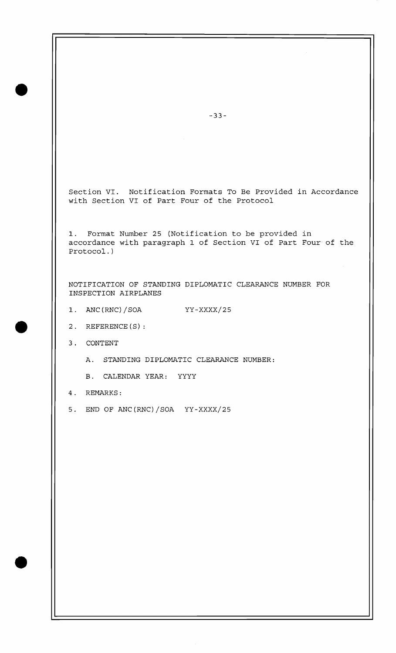Section VI. Notification Formats To Be Provided in Accordance with Section VI of Part Four of the Protocol

1. Format Number 25 (Notification to be provided in accordance with paragraph 1 of Section VI of Part Four of the Protocol. )

NOTIFICATION OF STANDING DIPLOMATIC CLEARANCE NUMBER FOR INSPECTION AIRPLANES

- 1. ANC(RNC)/SOA YY-XXXX/25
- 2. REFERENCE (S) :
- 3. CONTENT
	- A. STANDING DIPLOMATIC CLEARANCE NUMBER:
	- B. CALENDAR YEAR: YYYY
- 4. REMARKS:
- 5. END OF ANC(RNC)/SOA YY-XXXX/25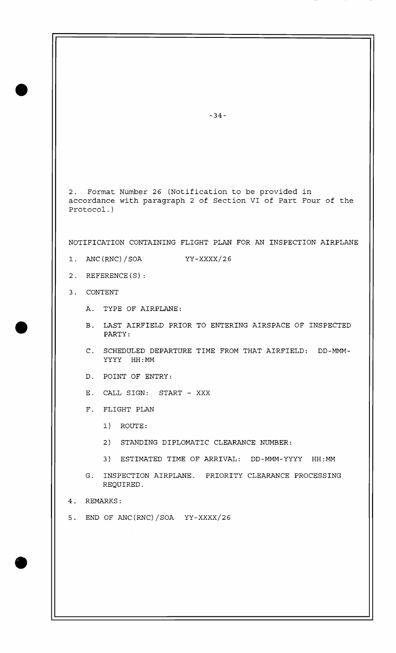2. Format Number 26 (Notification to be provided in accordance with paragraph 2 of Section VI of Part Four of the Protocol.)

NOTIFICATION CONTAINING FLIGHT PLAN FOR AN INSPECTION AIRPLANE

- $1.$  ANC(RNC)/SOA  $YY-XXXX/26$
- 2. REFERENCE(S):
- 3. CONTENT
	- A. TYPE OF AIRPLANE:
	- B. LAST AIRFIELD PRIOR TO ENTERING AIRSPACE OF INSPECTED PARTY :
	- C. SCHEDULED DEPARTURE TIME FROM THAT AIRFIELD: DD-MMM-YYYY HH : MM
	- D. POINT OF ENTRY:
	- E. CALL SIGN: START XXX
	- F. FLIGHT PLAN
		- 1) ROUTE:
		- 2) STANDING DIPLOMATIC CLEARANCE NUMBER:
		- 3) ESTIMATED TIME OF ARRIVAL: DD-MMM-YYYY HH:MM
	- G. INSPECTION AIRPLANE. PRIORITY CLEARANCE PROCESSING REQUIRED.
- 4. REMARKS:
- 5. END OF ANC(RNC)/SOA Yy-XXXX/26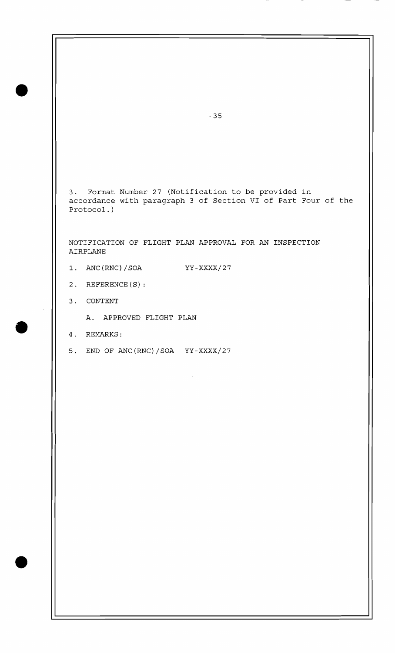3. Format Number 27 (Notification to be provided in accordance with paragraph 3 of Section VI of Part Four of the Protocol.)

 $\mathcal{L}^{\text{max}}_{\text{max}}$  and  $\mathcal{L}^{\text{max}}_{\text{max}}$ 

NOTIFICATION OF FLIGHT PLAN APPROVAL FOR AN INSPECTION AIRPLANE

- 1. ANC(RNC)/SOA YY-XXXX/27
- 2. REFERENCE (S) :
- 3. CONTENT
	- A. APPROVED FLIGHT PLAN
- 4. REMARKS:
- 5. END OF ANC (RNC) /SOA YY-XXXX/27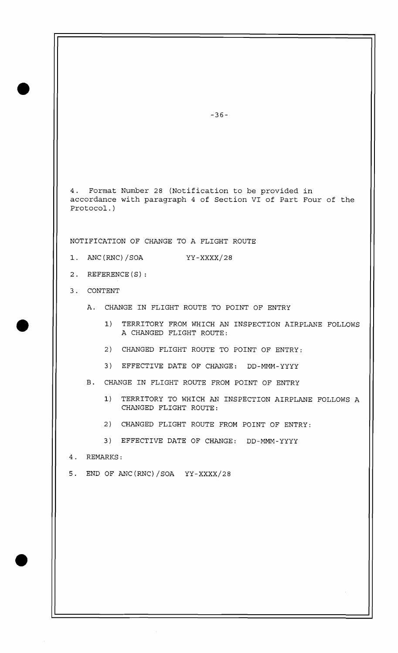4. Format Number 28 (Notification to be provided in accordance with paragraph 4 of Section VI of Part Four of the Protocol.)

NOTIFICATION OF CHANGE TO A FLIGHT ROUTE

- ANC (RNC) / SOA  $1.$ YY-XXXX/28
- $2.$  REFERENCE $(S)$ :
- 3. CONTENT
	- A. CHANGE IN FLIGHT ROUTE TO POINT OF ENTRY
		- 1) TERRITORY FROM WHICH AN INSPECTION AIRPLANE FOLLOWS A CHANGED FLIGHT ROUTE:
		- 2) CHANGED FLIGHT ROUTE TO POINT OF ENTRY:
		- 3) EFFECTIVE DATE OF CHANGE: DD-MMM-YYYY
	- B. CHANGE IN FLIGHT ROUTE FROM POINT OF ENTRY
		- 1) TERRITORY TO WHICH AN INSPECTION AIRPLANE FOLLOWS A CHANGED FLIGHT ROUTE:
		- 2) CHANGED FLIGHT ROUTE FROM POINT OF ENTRY:
		- 3) EFFECTIVE DATE OF CHANGE: DD-MMM-YYYY
- 4. REMARKS:
- 5. END OF ANC(RNC)/SOA YY-xXXX/28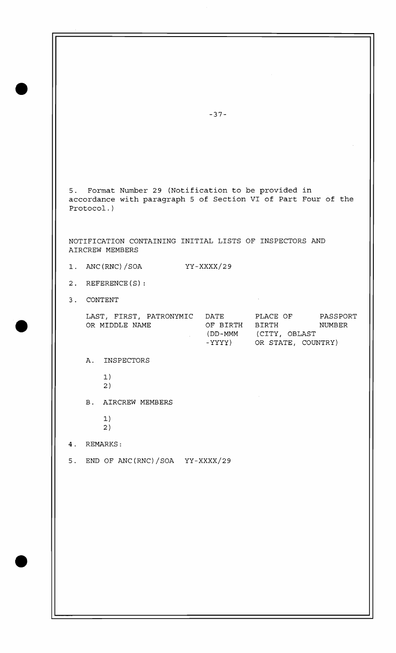$-37-$ 5. Format Number 29 (Notification to be provided in accordance with paragraph 5 of Section VI of Part Four of the Protocol.) NOTIFICATION CONTAINING INITIAL LISTS OF INSPECTORS AND AIRCREW MEMBERS 1. ANC (RNC) /SOA YY-xxxx/29 2. REFERENCE (S) : 3. CONTENT LAST, FIRST, PATRONYMIC DATE PLACE OF PASSPORT OR MIDDLE NAME OF BIRTH BIRTH NUMBER (DD-MMM (CITY, OBLAST -YYYY) OR STATE, COUNTRY) A. INSPECTORS 1) 2 B. AIRCREW MEMBERS 1) 2 4. REMARKS: 5. END OF ANC (RNC) /SOA YY-XXXX/29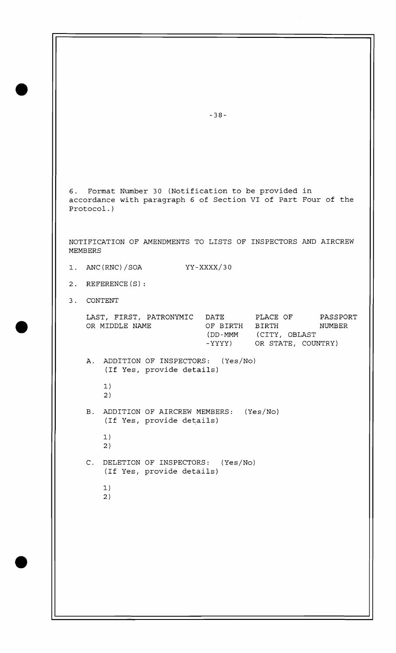**6.** Format Number 30 (Notification to be provided in accordance with paragraph **6** of Section VI of Part Four of the Protocol. )

NOTIFICATION OF AMENDMENTS TO LISTS OF INSPECTORS AND AIRCREW MEMBERS

- 1. ANC(RNC)/SOA YY-xxxx/30
- 2. REFERENCE(S):
- 3. CONTENT

| LAST, FIRST, PATRONYMIC | DATE.          | PLACE OF           | PASSPORT |
|-------------------------|----------------|--------------------|----------|
| OR MIDDLE NAME          | OF BIRTH BIRTH |                    | NUMBER   |
|                         | (DD-MMM)       | (CITY, OBLAST)     |          |
|                         | – YYYY)        | OR STATE, COUNTRY) |          |

- A. ADDITION OF INSPECTORS: (Yes/No) (If Yes, provide details) 1)
	- 2 )
- B. ADDITION OF AIRCREW MEMBERS: (Yes/No) (If Yes, provide details)
	- 1) 2
- C. DELETION OF INSPECTORS: (Yes/No) (If Yes, provide details)
	- 1) 2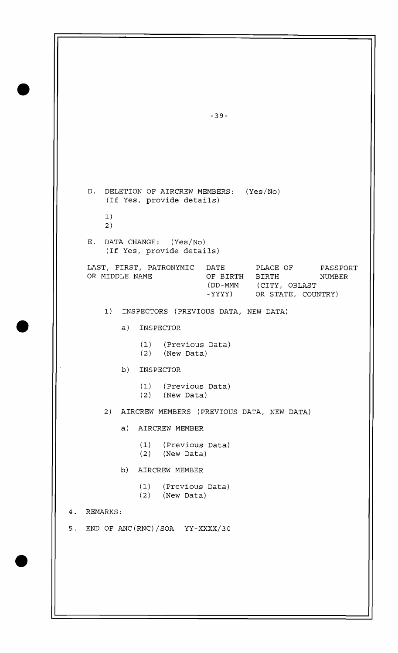| $-39-$                                                                                                                                                |
|-------------------------------------------------------------------------------------------------------------------------------------------------------|
|                                                                                                                                                       |
|                                                                                                                                                       |
| D. DELETION OF AIRCREW MEMBERS: (Yes/No)<br>(If Yes, provide details)                                                                                 |
| 1)<br>2)                                                                                                                                              |
| E. DATA CHANGE: (Yes/No)<br>(If Yes, provide details)                                                                                                 |
| LAST, FIRST, PATRONYMIC DATE PLACE OF<br>PASSPORT<br>OR MIDDLE NAME<br>OF BIRTH BIRTH<br>NUMBER<br>(DD-MMM (CITY, OBLAST<br>-YYYY) OR STATE, COUNTRY) |
| 1)<br>INSPECTORS (PREVIOUS DATA, NEW DATA)                                                                                                            |
| a)<br>INSPECTOR                                                                                                                                       |
| (1) (Previous Data)<br>$(2)$ (New Data)                                                                                                               |
| b)<br>INSPECTOR                                                                                                                                       |
| (1) (Previous Data)<br>$(2)$ (New Data)                                                                                                               |
| 2) AIRCREW MEMBERS (PREVIOUS DATA, NEW DATA)                                                                                                          |
| a) AIRCREW MEMBER                                                                                                                                     |
| (1) (Previous Data)<br>$(2)$ (New Data)                                                                                                               |
| b) AIRCREW MEMBER                                                                                                                                     |
| (1) (Previous Data)<br>$(2)$ (New Data)                                                                                                               |
| REMARKS:<br>4.                                                                                                                                        |
| 5. END OF ANC(RNC)/SOA YY-XXXX/30                                                                                                                     |
|                                                                                                                                                       |
|                                                                                                                                                       |

Б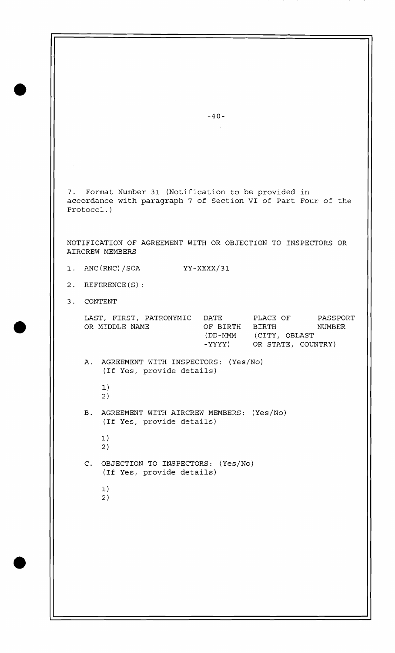7. Format Number 31 (Notification to be provided in accordance with paragraph 7 of Section VI of Part Four of the Protocol. NOTIFICATION OF AGREEMENT WITH OR OBJECTION TO INSPECTORS OR AIRCREW MEMBERS 1. ANC(RNC)/SOA YY-xxxx/31 2. REFERENCE (S) : 3. CONTENT LAST, FIRST, PATRONYMIC DATE PLACE OF PASSPORT OR MIDDLE NAME OF BIRTH BIRTH NUMBER (DD-MMM (CITY, OBLAST -YYYY) OR STATE, COUNTRY) A. AGREEMENT WITH INSPECTORS: (Yes/No) (If Yes, provide details) 1) 2 B. AGREEMENT WITH AIRCREW MEMBERS: (Yes/No) (If Yes, provide details) 1) 2) C. OBJECTION TO INSPECTORS: (Yes/No) (If Yes, provide details) 1) 2

 $-40-$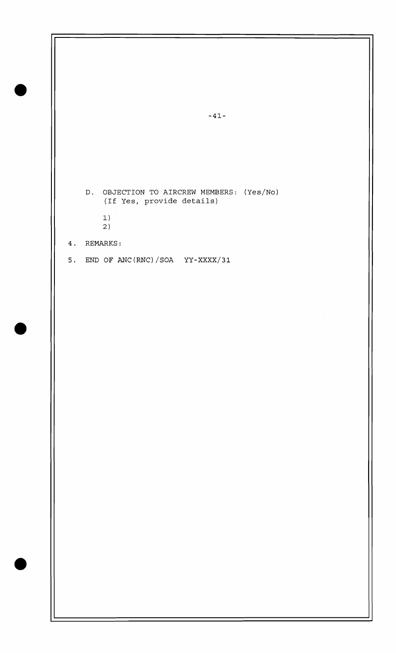$-41-$ D. OBJECTION TO AIRCREW MEMBERS: (Yes/No) (If Yes, provide details)  $1)$ 2 ) 4. REMARKS: 5. END OF ANC(RNC)/SOA  $YY-XXXX/31$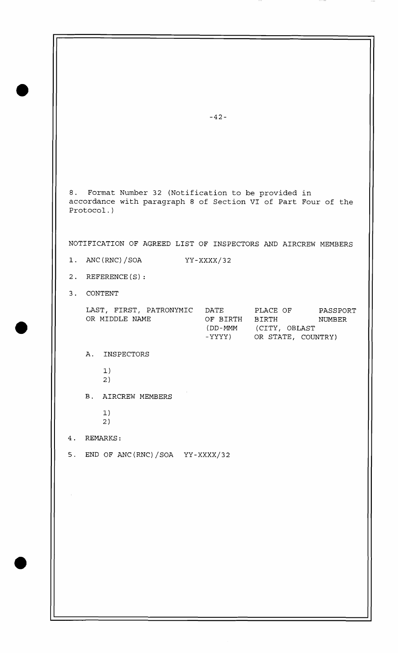$-42-$ 8. Format Number 32 (Notification to be provided in accordance with paragraph 8 of Section VI of Part Four of the Protocol.) NOTIFICATION OF AGREED LIST OF INSPECTORS AND AIRCREW MEMBERS 1. ANC(RNC) /SOA YY-xxxx/32 2. REFERENCE(S): 3. CONTENT LAST, FIRST, PATRONYMIC DATE PLACE OF PASSPORT<br>OR MIDDLE NAME OF BIRTH BIRTH MUMBER OF BIRTH BIRTH NUMBER (DD-MMM (CITY, OBLAST -YYYY) OR STATE, COUNTRY) A. INSPECTORS 1) 2) B. AIRCREW MEMBERS 1) 2 ) 4. REMARKS: 5. END OF ANC(RNC)/SOA YY-XXXX/32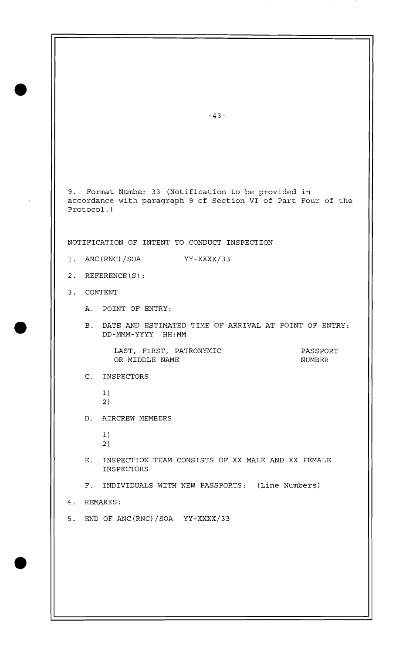$-43-$ 9. Format Number 33 (Notification to be provided in accordance with paragraph 9 of Section VI of Part Four of the Protocol.) NOTIFICATION OF INTENT TO CONDUCT INSPECTION 1. ANC (RNC) / SOA YY-XXXX/33 2. REFERENCE (S) : 3. CONTENT A. POINT OF ENTRY: B. DATE AND ESTIMATED TIME OF ARRIVAL AT POINT OF ENTRY: DD-MMM-YYYY HH:MM LAST, FIRST, PATRONYMIC PASSPORT OR MIDDLE NAME NUMBER C. INSPECTORS 1) 2 ) D. AIRCREW MEMBERS 1) 2 ) E. INSPECTION TEAM CONSISTS OF XX MALE AND XX FEMALE INSPECTORS F. INDIVIDUALS WITH NEW PASSPORTS: (Line Numbers) 4. REMARKS: 5. END OF ANC (RNC) /SOA YY-XXXX/33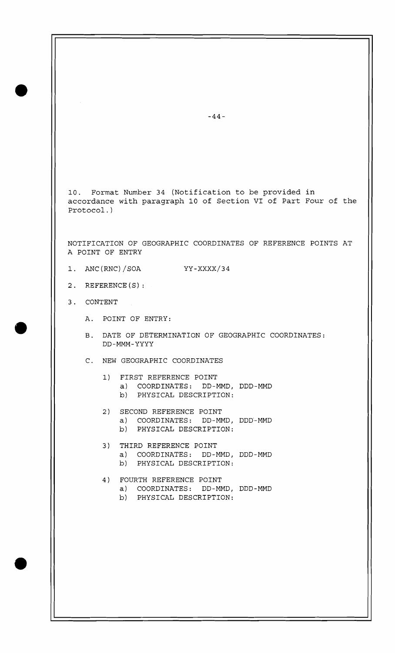10. Format Number 34 (Notification to be provided in accordance with paragraph 10 of Section VI of Part Four of the Protocol. )

NOTIFICATION OF GEOGRAPHIC COORDINATES OF REFERENCE POINTS AT A POINT OF ENTRY

- 1. ANC(RNC)/SOA YY-xxxx/34
- 2. REFERENCE(S):
- 3. CONTENT
	- A. POINT OF ENTRY:
	- B. DATE OF DETERMINATION OF GEOGRAPHIC COORDINATES: DD-MMM-YYYY
	- C. NEW GEOGRAPHIC COORDINATES
		- 1) FIRST REFERENCE POINT
			- a) COORDINATES: DD-MMD, DDD-MMD
			- b) PHYSICAL DESCRIPTION:
		- 2) SECOND REFERENCE POINT
			- a) COORDINATES: DD-MMD, DDD-MMD
			- b) PHYSICAL DESCRIPTION:
		- 3) THIRD REFERENCE POINT a) COORDINATES: DD-MMD, DDD-MMD b) PHYSICAL DESCRIPTION:
		- 4) FOURTH REFERENCE POINT a) COORDINATES: DD-MMD, DDD-MMD
			- b) PHYSICAL DESCRIPTION:

 $-44-$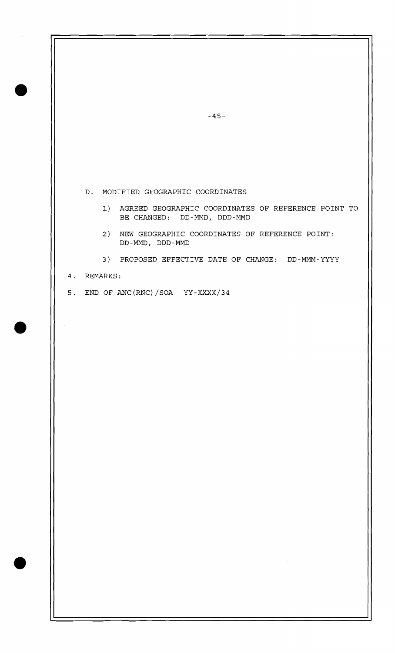D. MODIFIED GEOGRAPHIC COORDINATES

- **1)** AGREED GEOGRAPHIC COORDINATES OF REFERENCE POINT TO BE CHANGED: DD-MMD, DDD-MMD
- 2) NEW GEOGRAPHIC COORDINATES OF REFERENCE POINT: DD-MMD , DDD -MMD
- 3) PROPOSED EFFECTIVE DATE OF CHANGE: DD-MMM-YYYY
- 4. REMARKS:
- 5. END OF ANC(RNC)/SOA  $YY-XXXX/34$

 $-45-$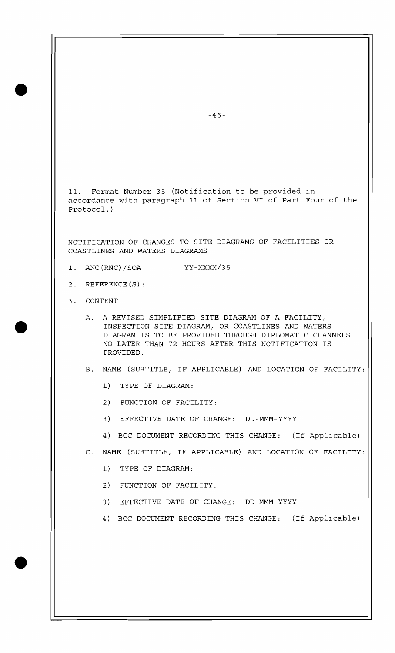11. Format Number 35 (Notification to be provided in accordance with paragraph 11 of Section VI of Part Four of the Protocol. )

NOTIFICATION OF CHANGES TO SITE DIAGRAMS OF FACILITIES OR COASTLINES AND WATERS DIAGRAMS

- 1. ANC (RNC) /SOA YY-xxxx/35
- 2. REFERENCE(S):
- 3. CONTENT
	- A. A REVISED SIMPLIFIED SITE DIAGRAM OF A FACILITY, INSPECTION SITE DIAGRAM, OR COASTLINES AND WATERS DIAGRAM IS TO BE PROVIDED THROUGH DIPLOMATIC CHANNELS NO LATER THAN 72 HOURS AFTER THIS NOTIFICATION IS PROVIDED.
	- B. NAME (SUBTITLE, IF APPLICABLE) AND LOCATION OF FACILITY:
		- 1) TYPE OF DIAGRAM:
		- 2) FUNCTION OF FACILITY:
		- 3) EFFECTIVE DATE OF CHANGE: DD-MMM-YYYY
		- 4) BCC DOCUMENT RECORDING THIS CHANGE: (If Applicable)
	- C. NAME (SUBTITLE, IF APPLICABLE) AND LOCATION OF FACILITY:
		- 1) TYPE OF DIAGRAM:
		- 2) FUNCTION OF FACILITY:
		- 3) EFFECTIVE DATE OF CHANGE: DD-MMM-YYYY
		- 4) BCC DOCUMENT RECORDING THIS CHANGE: (If Applicable)

 $-46-$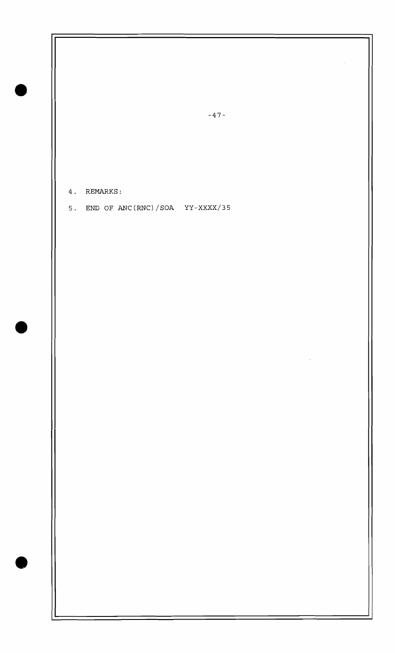4. REMARKS:

5. END OF ANC(RNC)/SOA YY-XXXX/35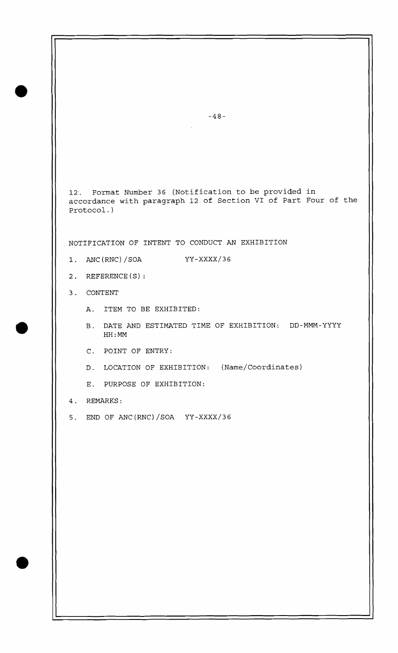$-48-$ 12. Format Number 36 (Notification to be provided in accordance with paragraph 12 of Section VI of Part Four of the Protocol. ) NOTIFICATION OF INTENT TO CONDUCT AN EXHIBITION  $1.$  ANC(RNC)/SOA  $YY-XXXX/36$ 2. REFERENCE (S) : 3. CONTENT A. ITEM TO BE EXHIBITED: B. DATE AND ESTIMATED TIME OF EXHIBITION: DD-MMM-YYYY HH : MM C. POINT OF ENTRY: D. LOCATION OF EXHIBITION: (Name/Coordinates) E. PURPOSE OF EXHIBITION: 4. REMARKS: 5. END OF ANC (RNC) /SOA YY-XXXX/36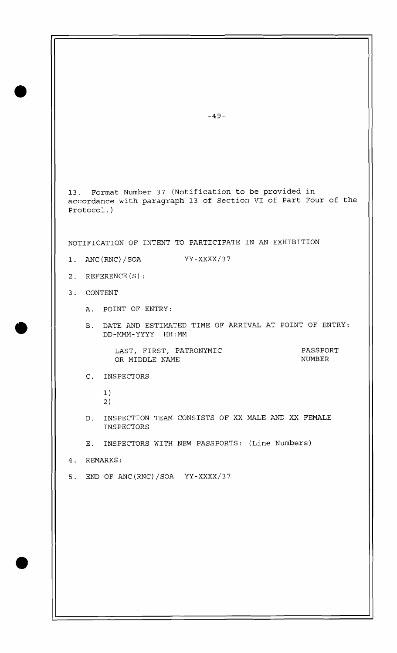13. Format Number 37 (Notification to be provided in accordance with paragraph 13 of Section VI of Part Four of the Protocol.) NOTIFICATION OF INTENT TO PARTICIPATE IN AN EXHIBITION 1. ANC (RNC) /SOA YY-XXXX/37 2. REFERENCE(S): 3. CONTENT A. POINT OF ENTRY: B. DATE AND ESTIMATED TIME OF ARRIVAL AT POINT OF ENTRY: DD-MMM-YYYY HH:MM LAST, FIRST, PATRONYMIC OR MIDDLE NAME C. INSPECTORS 1) 2 D. INSPECTION TEAM CONSISTS OF XX MALE AND XX FEMALE INSPECTORS E. INSPECTORS WITH NEW PASSPORTS: (Line Numbers) 4. REMARKS: 5. END OF ANC(RNC)/SOA  $YY-XXXX/37$ PASSPORT NUMBER

 $-49-$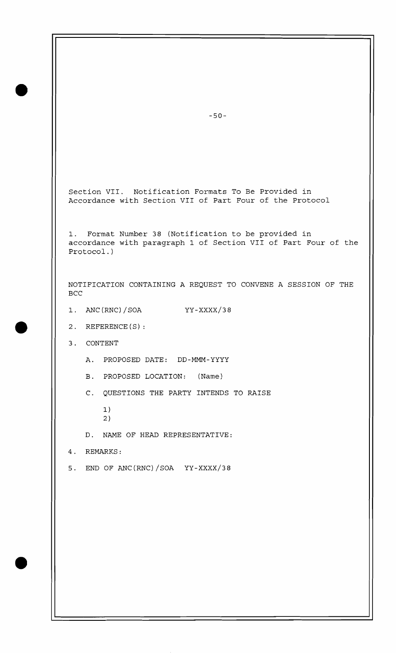Section VII. Notification Formats To Be Provided in Accordance with Section VII of Part Four of the Protocol

1. Format Number 38 (Notification to be provided in accordance with paragraph 1 of Section VII of Part Four of the Protocol. )

NOTIFICATION CONTAINING A REQUEST TO CONVENE A SESSION OF THE **BCC** 

- $1.$  ANC(RNC)/SOA  $YY-XXXX/38$
- 2. REFERENCE (S) :
- 3. CONTENT
	- A. PROPOSED DATE: DD-MMM-YYYY
	- B. PROPOSED LOCATION: (Name)
	- C. QUESTIONS THE PARTY INTENDS TO RAISE
		- 1) 2)

D. NAME OF HEAD REPRESENTATIVE:

4. REMARKS:

5. END OF ANC(RNC)/SOA YY-XxxX/38

 $-50-$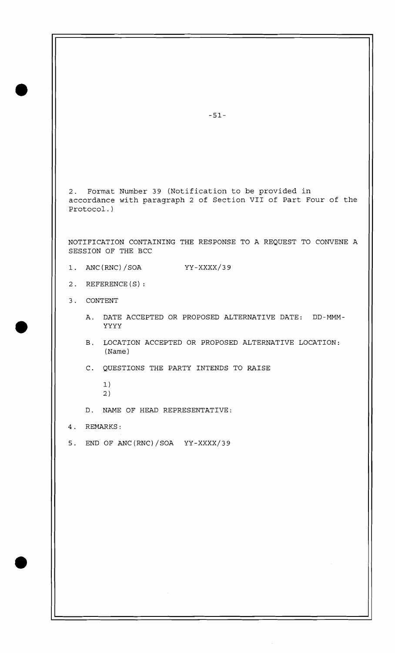2. Format Number 39 (Notification to be provided in accordance with paragraph 2 of Section VII of Part Four of the Protocol.)

NOTIFICATION CONTAINING THE RESPONSE TO A REQUEST TO CONVENE A SESSION OF THE BCC

- 1. ANC(RNC)/SOA YY-xxxx/3 9
- 2. REFERENCE (S) :
- 3. CONTENT
	- A. DATE ACCEPTED OR PROPOSED ALTERNATIVE DATE: DD-MMM-YYYY
	- B. LOCATION ACCEPTED OR PROPOSED ALTERNATIVE LOCATION: (Name )
	- C. QUESTIONS THE PARTY INTENDS TO RAISE
		- 1) 2
	- D. NAME OF HEAD REPRESENTATIVE:
- 4. REMARKS:
- 5. END OF ANC(RNC)/SOA YY-XXXX/39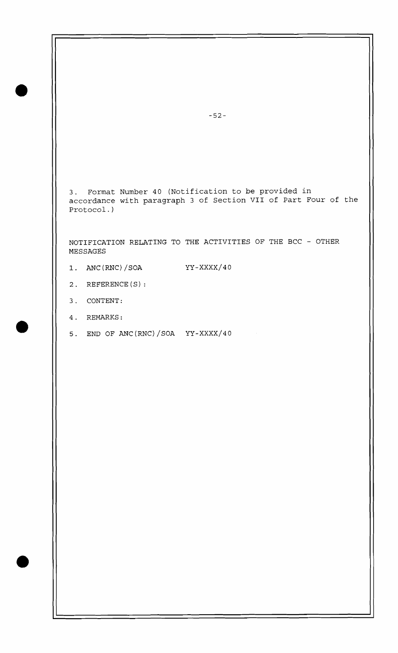3. Format Number 40 (Notification to be provided in accordance with paragraph 3 of Section VII of Part Four of the Protocol.

NOTIFICATION RELATING TO THE ACTIVITIES OF THE BCC - OTHER MESSAGES

- **1.** ANC(RNC)/SOA YY-xxxx/40
- 2. REFERENCE(S):
- 3. CONTENT:
- 4. REMARKS:
- 5. END OF ANC(RNC)/SOA Yy-XXXX/40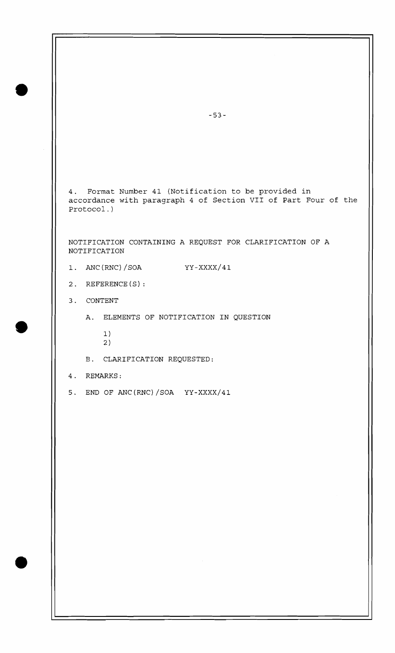4. Format Number 41 (Notification to be provided in accordance with paragraph 4 of Section VII of Part Four of the Protocol. )

NOTIFICATION CONTAINING A REQUEST FOR CLARIFICATION OF A NOTIFICATION

- 1. ANC (RNC) / SOA YY-XXXX/41
- 2. REFERENCE(S):
- 3. CONTENT
	- A. ELEMENTS OF NOTIFICATION IN QUESTION
		- 1) 2
	- E. CLARIFICATION REQUESTED:
- 4. REMARKS:
- 5. END OF ANC (RNC) /SOA YY-XXXX/41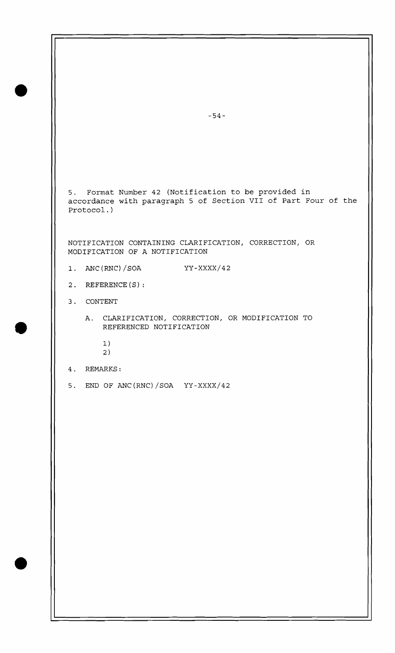5. Format Number 42 (Notification to be provided in accordance with paragraph 5 of Section VII of Part Four of the Protocol.) NOTIFICATION CONTAINING CLARIFICATION, CORRECTION, OR MODIFICATION OF A NOTIFICATION 1. ANC (RNC) /SOA YY-XXXX/42 2. REFERENCE (S) : 3. CONTENT

- A. CLARIFICATION, CORRECTION, OR MODIFICATION TO REFERENCED NOTIFICATION
	- 1)
	- 2
- 4. REMARKS:
- 5. END OF ANC(RNC)/SOA  $YY-XXXX/42$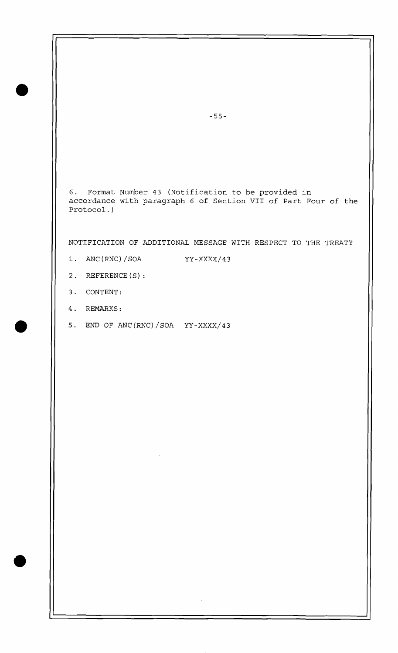6. Format Number 43 (Notification to be provided in accordance with paragraph 6 of Section VII of Part Four of the Protocol.)

NOTIFICATION OF ADDITIONAL MESSAGE WITH RESPECT TO THE TREATY

- 1. ANC(RNC)/SOA YY-XXXX/43
- 2. REFERENCE(S):
- 3. CONTENT:
- 4. REMARKS:
- 5. END OF ANC(RNC)/SOA  $YY-XXXX/43$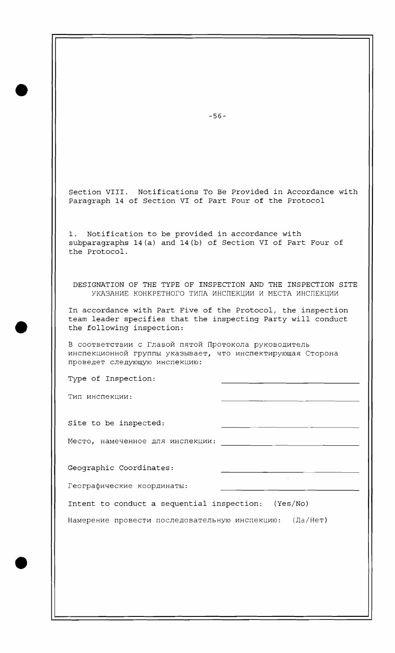| $-56-$                                                                                                                                                    |
|-----------------------------------------------------------------------------------------------------------------------------------------------------------|
|                                                                                                                                                           |
| Section VIII. Notifications To Be Provided in Accordance with<br>Paragraph 14 of Section VI of Part Four of the Protocol                                  |
| Notification to be provided in accordance with<br>subparagraphs 14(a) and 14(b) of Section VI of Part Four of<br>the Protocol.                            |
| DESIGNATION OF THE TYPE OF INSPECTION AND THE INSPECTION SITE<br>УКАЗАНИЕ КОНКРЕТНОГО ТИПА ИНСПЕКЦИИ И МЕСТА ИНСПЕКЦИИ                                    |
| In accordance with Part Five of the Protocol, the inspection<br>team leader specifies that the inspecting Party will conduct<br>the following inspection: |
| В соответствии с Главой пятой Протокола руководитель<br>инспекционной группы указывает, что инспектирующая Сторона<br>проведет следующую инспекцию:       |
| Type of Inspection:                                                                                                                                       |
| Тип инспекции:<br><u> 1989 - Andrea Stadt Britain, amerikansk politik (d. 1989)</u>                                                                       |
| Site to be inspected:                                                                                                                                     |
| Место, намеченное для инспекции:<br><u> 1980 - John Stone, Amerikaansk politiker († 1908)</u>                                                             |
| Geographic Coordinates:                                                                                                                                   |
| Географические координаты:<br><u> 1980 - An Dùbhlachd ann an Dùbhlachd ann an Dùbhlachd ann an Dùbhlachd ann an Dùbhlachd ann an Dùbhlachd ann </u>       |
| Intent to conduct a sequential inspection: (Yes/No)                                                                                                       |
| Намерение провести последовательную инспекцию: (Да/Нет)                                                                                                   |
|                                                                                                                                                           |
|                                                                                                                                                           |
|                                                                                                                                                           |
|                                                                                                                                                           |
|                                                                                                                                                           |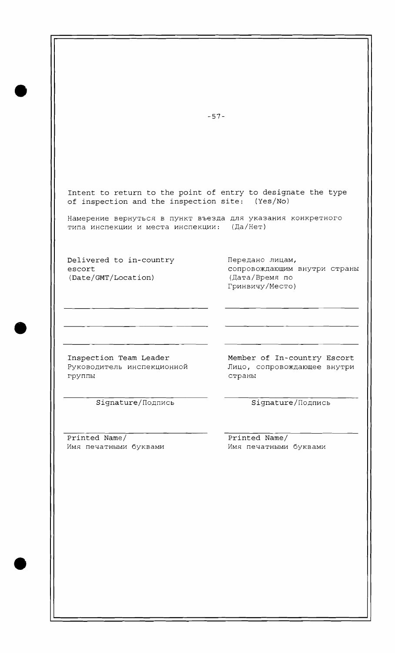$-57-$ Intent to return to the point of entry to designate the type of inspection and the inspection site:  $(Yes/No)$ Намерение вернуться в пункт въезда для указания конкретного типа инспекции и места инспекции: (Да/Нет) Delivered to in-country **nepenantly nepenantly**  $\Box$ escort conpoboxдающим внутри страны (Date/GMT/Location) (Дата/Время по (Date/GMT/Location) Гринвичу/Место) Inspection Team Leader Member of In-country Escort Руководитель инспекционной Пицо, сопровождающее внутри Fpynnb1 CTPaHbI Signature/Подпись Signature/Подпись Printed Name/ Printed Name/ Имя печатными буквами **ММЯ печатными буквами**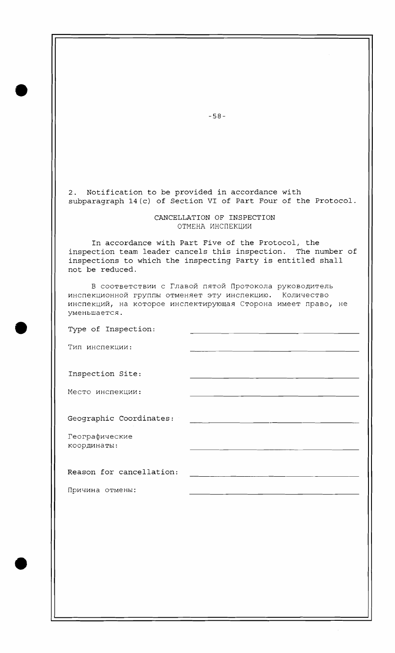2. Notification to be provided in accordance with subparagraph 14(c) of Section VI of Part Four of the Protocol.

## CANCELLATION OF INSPECTION ОТМЕНА ИНСПЕКЦИИ

In accordance with Part Five of the Protocol, the inspection team leader cancels this inspection. The number of inspections to which the inspecting Party is entitled shall not be reduced.

B соответствии с Главой пятой Протокола руководитель ИНСПЕКЦИОННОЙ ГРУППЫ ОТМЕНЯЕТ ЭТУ ИНСПЕКЦИЮ. КОЛИЧЕСТВО инспекций, на которое инспектирующая Сторона имеет право, не  $y$ MeHbmaeTCA.

Type of Inspection:

Txn MHcneKwM:

Inspection Site:

Место инспекции:

Geographic Coordinates:

Географические координаты:

Reason for cancellation:

Причина отмены:

 $-58-$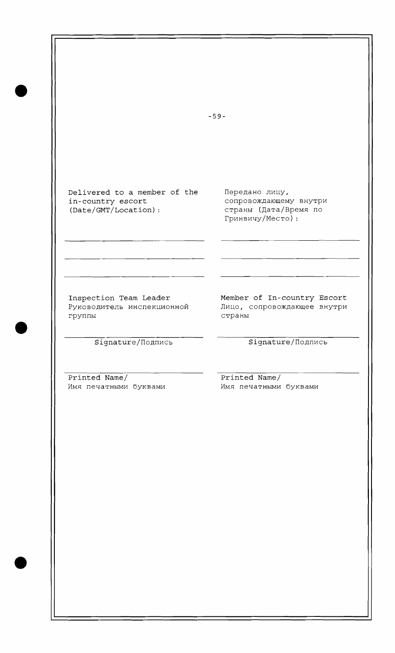$-59-$ Delivered to a member of the Передано лицу, in-country escort сопровождающему внутри (Date/GMT/Location) : страны (Дата/Время по Гринвичу/Место): Inspection Team Leader Member of In-country Escort Руководитель инспекционной - Лицо, сопровождающее внутри группы страны Signature/Подпись Signature/Подпись Printed Name/<br>  $M$ MMA NEVATHEMM MARRETHEMM Имя печатными буквами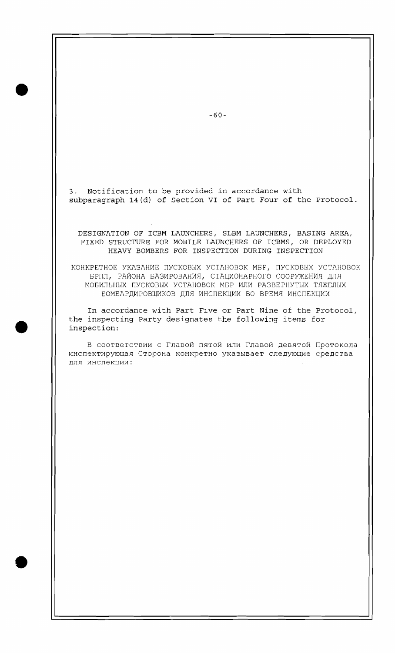3. Notification to be provided in accordance with subparagraph 14(d) of Section VI of Part Four of the Protocol.

DESIGNATION OF ICBM LAUNCHERS, SLBM LAUNCHERS, BASING AREA, FIXED STRUCTURE FOR MOBILE LAUNCHERS OF ICBMs, OR DEPLOYED HEAVY BOMBERS FOR INSPECTION DURING INSPECTION

KOHKPETHOE YKA3AHME nYCKOBbIX YCTAHOBOK MEF, nYCKOBbIX YCTAHOBOK БРПЛ, РАЙОНА БАЗИРОВАНИЯ, СТАЦИОНАРНОГО СООРУЖЕНИЯ ДЛЯ MOEMJIbHbIX nYCKOBb1X YCTAHOBOK MEP MJIM PA3BEPHYTbIX TRXEJIbIX БОМБАРДИРОВЩИКОВ ДЛЯ ИНСПЕКЦИИ ВО ВРЕМЯ ИНСПЕКЦИИ

In accordance with Part Five or Part Nine of the Protocol, the inspecting Party designates the following items for inspection:

В соответствии с Главой пятой или Главой девятой Протокола инспектирующая Сторона конкретно указывает следующие средства для инспекции:

 $-60-$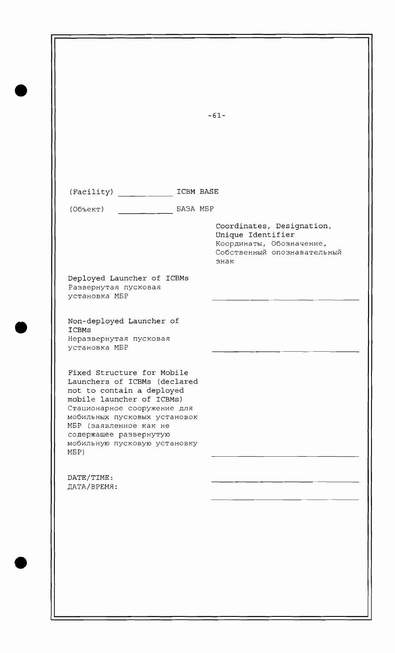(Facility) ICBM BASE

(Oбъект) BA3A MBP

Coordinates, Designation, Unique Identifier Координаты, Обозначение, Собственный опознавательный 3HaK

Deployed Launcher of ICBMs Развернутая пусковая YCTaHOBKa MBP

Non-deployed Launcher of ICBMs Неразвернутая пусковая YCTaHOBKa MBP

Fixed Structure for Mobile Launchers of ICBMs (declared not to contain a deployed mobile launcher of ICBMs) Стационарное сооружение для мобильных пусковых установок MBP (заявленное как не содержащее развернутую мобильную пусковую установку ME P )

DATE/TIME: ДАТА/ВРЕМЯ:  $-61-$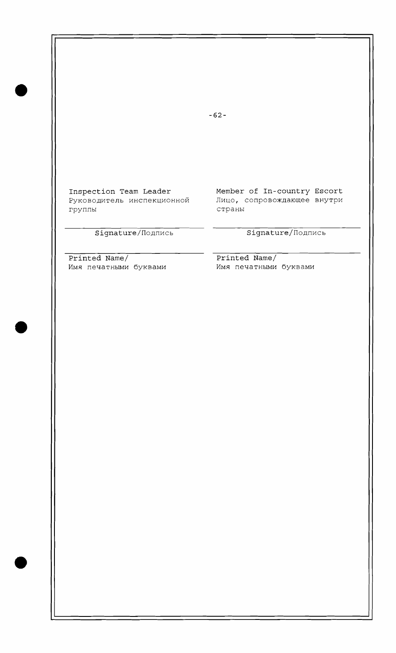Inspection Team Leader Member of In-country Escort Pуководитель инспекционной - Лицо, сопровождающее внутри<br>- страны страны страны

## Signature/Подпись Signature/Подпись

Printed Name/<br> **Printed Name/**<br> **Example MAR ADDER MAR MAR MAR MAR MAR MENAMA MAR MENAMA MAR MENAMA MAR MENAMA MARKANG MARKANG MARKANG NAMA MENAMA MENAMA MENAMA MENAMA MENAMA MENAMA MENAMA MENAMA MENAMA MENAMA MENAMA MENAM** Имя печатными буквами

 $-62-$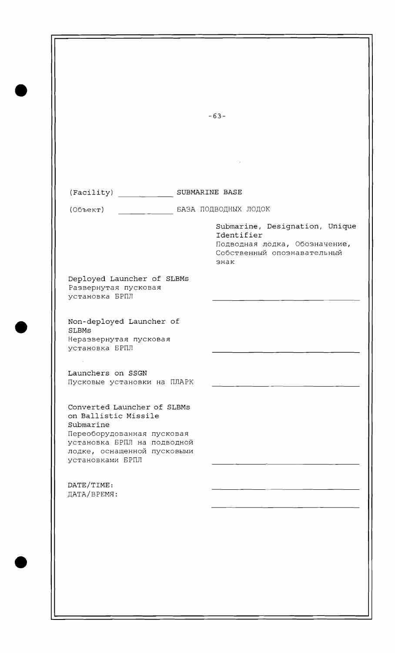$-63-$ (Facility) SUBMARINE BASE (Объект) **EA3A ПОДВОДНЫХ ЛОДОК** Submarine, Designation, Unique Identifier Подводная лодка, Обозначение, Собственный опознавательный 3HaK Deployed Launcher of SLBMs Развернутая пусковая установка БРПЛ Non-deployed Launcher of SLBMs Неразвернутая пусковая установка БРПЛ Launchers on SSGN Пусковые установки на ПЛАРК Converted Launcher of SLBMs on Ballistic Missile Submarine Переоборудованная пусковая Установка БРПЛ на подводной лодке, оснащенной пусковыми **УСТАНОВКАМИ БРПЛ** DATE/TIME: ДАТА/ВРЕМЯ: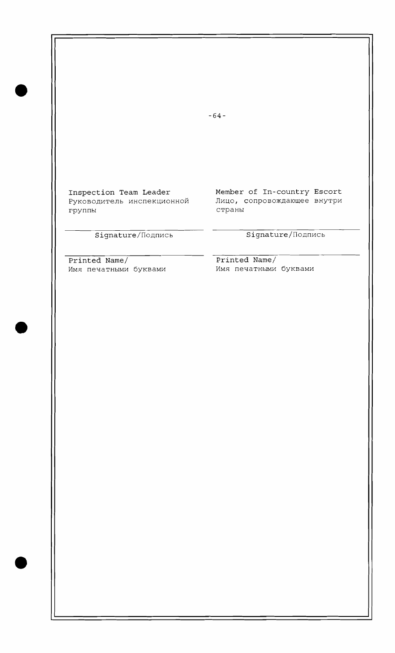$-64-$ Inspection Team Leader Member of In-country Escort Руководитель инспекционной Лицо, сопровождающее внутри<br>группы страны  $^{\rm crp}$ аны Signature/Подпись Signature/Подпись

Имя печатными буквами

Printed Name/<br> **Printed Name/**<br> **Existed Name/**<br> **Existed Name/**<br> **Existed Name/**<br> **Existed Name/**<br> **Existed Name/**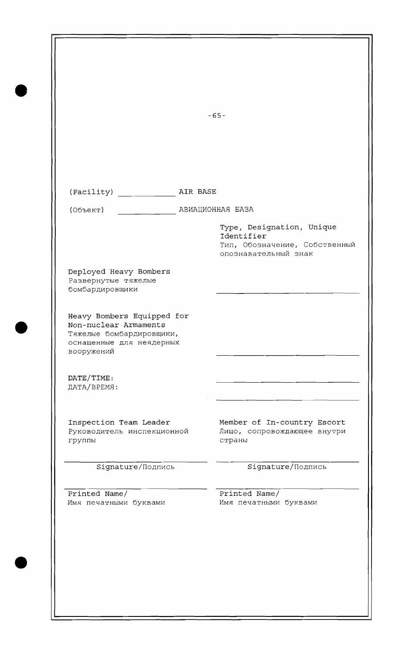|                                                                                                                                                                                                                                               |          | $-65-$                                                                                           |
|-----------------------------------------------------------------------------------------------------------------------------------------------------------------------------------------------------------------------------------------------|----------|--------------------------------------------------------------------------------------------------|
|                                                                                                                                                                                                                                               |          |                                                                                                  |
|                                                                                                                                                                                                                                               |          |                                                                                                  |
|                                                                                                                                                                                                                                               | AIR BASE |                                                                                                  |
| (Facility)<br>(Объект)                                                                                                                                                                                                                        |          | АВИАЦИОННАЯ БАЗА                                                                                 |
|                                                                                                                                                                                                                                               |          | Type, Designation, Unique<br>Identifier<br>Тип, Обозначение, Собственный<br>опознавательный знак |
| Deployed Heavy Bombers<br>Развернутые тяжелые<br>бомбардировщики                                                                                                                                                                              |          |                                                                                                  |
|                                                                                                                                                                                                                                               |          |                                                                                                  |
|                                                                                                                                                                                                                                               |          |                                                                                                  |
|                                                                                                                                                                                                                                               |          |                                                                                                  |
|                                                                                                                                                                                                                                               |          | Member of In-country Escort<br>Лицо, сопровождающее внутри<br>страны                             |
| Heavy Bombers Equipped for<br>Non-nuclear Armaments<br>Тяжелые бомбардировщики,<br>оснащенные для неядерных<br>вооружений<br>DATE/TIME:<br>ДАТА/ВРЕМЯ:<br>Inspection Team Leader<br>Руководитель инспекционной<br>группы<br>Signature/Подпись |          | Signature/Подпись                                                                                |
| Printed Name/<br>Имя печатными буквами                                                                                                                                                                                                        |          | Printed Name/<br>Имя печатными буквами                                                           |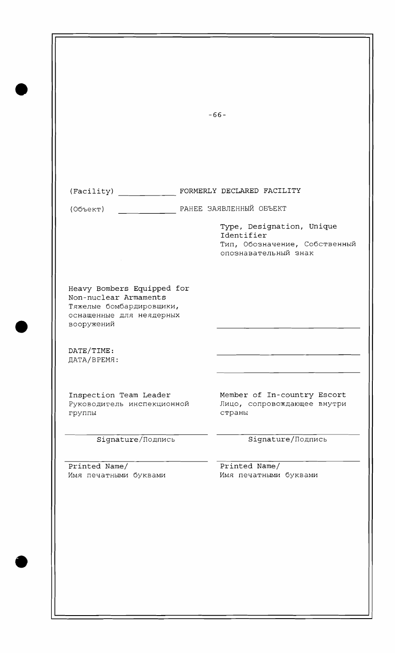|                                                                                             | $-66-$                                                                                                                      |
|---------------------------------------------------------------------------------------------|-----------------------------------------------------------------------------------------------------------------------------|
|                                                                                             |                                                                                                                             |
|                                                                                             |                                                                                                                             |
|                                                                                             | (Facility) FORMERLY DECLARED FACILITY                                                                                       |
| (055eK)                                                                                     | РАНЕЕ ЗАЯВЛЕННЫЙ ОБЪЕКТ<br>Type, Designation, Unique<br>Identifier<br>Тип, Обозначение, Собственный<br>опознавательный знак |
| Non-nuclear Armaments<br>Тяжелые бомбардировщики,<br>оснащенные для неядерных<br>вооружений |                                                                                                                             |
| DATE/TIME:<br>ДАТА/ВРЕМЯ:                                                                   |                                                                                                                             |
| Inspection Team Leader<br>Руководитель инспекционной<br>группы                              | Member of In-country Escort<br>Лицо, сопровождающее внутри<br>страны                                                        |
| Signature/Подпись                                                                           | Signature/Подпись                                                                                                           |
| Printed Name/<br>Имя печатными буквами                                                      | Printed Name/<br>Имя печатными буквами                                                                                      |
|                                                                                             |                                                                                                                             |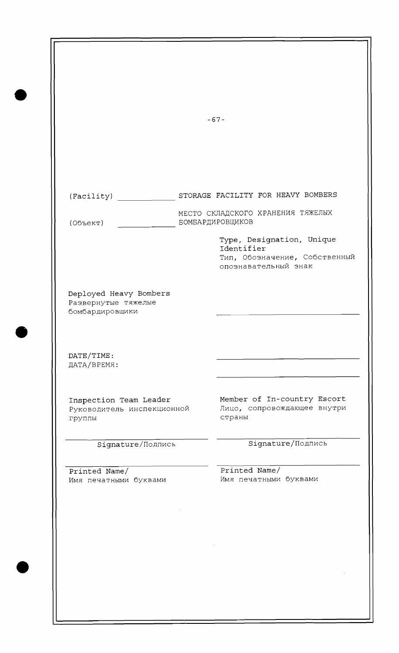$-67-$ (Facility) STORAGE FACILITY FOR HEAVY BOMBERS МЕСТО СКЛАДСКОГО ХРАНЕНИЯ ТЯЖЕЛЫХ (Объект) БОМБАРДИРОВЩИКОВ Type, Designation, Unique Identifier Тип, Обозначение, Собственный опознавательный знак Deployed Heavy Bombers Развернутые тяжелые бомбардировщики DATE/TIME: ДАТА/ВРЕМЯ: Inspection Team Leader Member of In-country Escort<br>Руководитель инспекционной Лицо, сопровождающее внутри Руководитель инспекционной группы страны Signature/Подпись Signature/Подпись Printed Name/ Printed Name/ Имя печатными буквами ММЯ печатными буквами